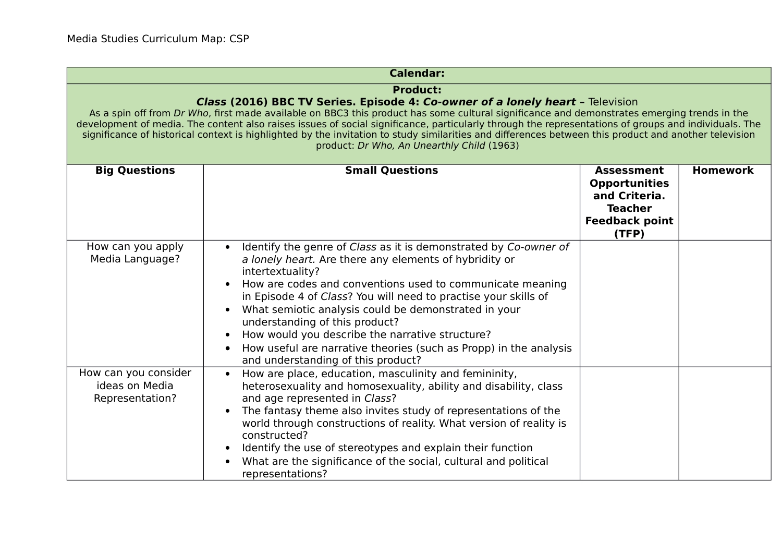|                                                           | <b>Calendar:</b>                                                                                                                                                                                                                                                                                                                                                                                                                                                                                                                                                                                                |                                                                                                                |                 |
|-----------------------------------------------------------|-----------------------------------------------------------------------------------------------------------------------------------------------------------------------------------------------------------------------------------------------------------------------------------------------------------------------------------------------------------------------------------------------------------------------------------------------------------------------------------------------------------------------------------------------------------------------------------------------------------------|----------------------------------------------------------------------------------------------------------------|-----------------|
|                                                           | <b>Product:</b><br>Class (2016) BBC TV Series. Episode 4: Co-owner of a lonely heart - Television<br>As a spin off from Dr Who, first made available on BBC3 this product has some cultural significance and demonstrates emerging trends in the<br>development of media. The content also raises issues of social significance, particularly through the representations of groups and individuals. The<br>significance of historical context is highlighted by the invitation to study similarities and differences between this product and another television<br>product: Dr Who, An Unearthly Child (1963) |                                                                                                                |                 |
| <b>Big Questions</b>                                      | <b>Small Questions</b>                                                                                                                                                                                                                                                                                                                                                                                                                                                                                                                                                                                          | <b>Assessment</b><br><b>Opportunities</b><br>and Criteria.<br><b>Teacher</b><br><b>Feedback point</b><br>(TFP) | <b>Homework</b> |
| How can you apply<br>Media Language?                      | Identify the genre of Class as it is demonstrated by Co-owner of<br>a lonely heart. Are there any elements of hybridity or<br>intertextuality?<br>How are codes and conventions used to communicate meaning<br>in Episode 4 of Class? You will need to practise your skills of<br>What semiotic analysis could be demonstrated in your<br>understanding of this product?<br>How would you describe the narrative structure?<br>How useful are narrative theories (such as Propp) in the analysis<br>and understanding of this product?                                                                          |                                                                                                                |                 |
| How can you consider<br>ideas on Media<br>Representation? | How are place, education, masculinity and femininity,<br>$\bullet$<br>heterosexuality and homosexuality, ability and disability, class<br>and age represented in Class?<br>The fantasy theme also invites study of representations of the<br>world through constructions of reality. What version of reality is<br>constructed?<br>Identify the use of stereotypes and explain their function<br>What are the significance of the social, cultural and political<br>representations?                                                                                                                            |                                                                                                                |                 |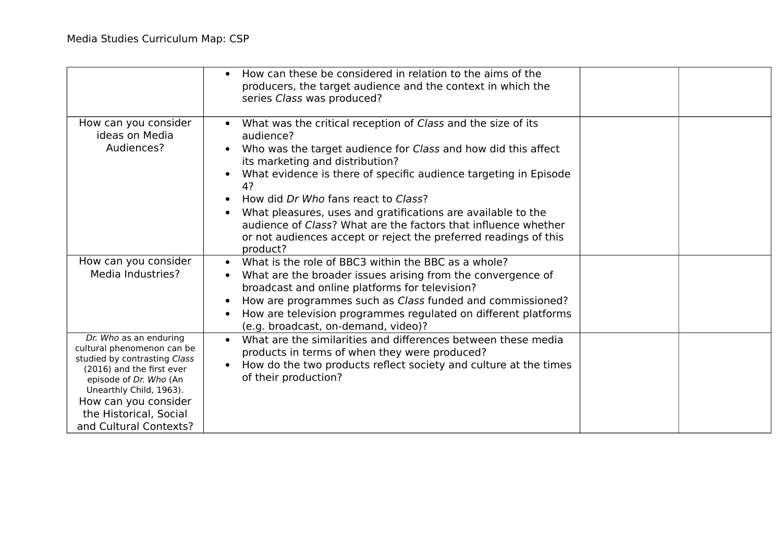|                                                                                                                                                                                                                                                    | How can these be considered in relation to the aims of the<br>producers, the target audience and the context in which the<br>series Class was produced?                                                                                                                                                                                                                                                                                                                                                                  |  |
|----------------------------------------------------------------------------------------------------------------------------------------------------------------------------------------------------------------------------------------------------|--------------------------------------------------------------------------------------------------------------------------------------------------------------------------------------------------------------------------------------------------------------------------------------------------------------------------------------------------------------------------------------------------------------------------------------------------------------------------------------------------------------------------|--|
| How can you consider<br>ideas on Media<br>Audiences?                                                                                                                                                                                               | What was the critical reception of Class and the size of its<br>audience?<br>Who was the target audience for Class and how did this affect<br>its marketing and distribution?<br>What evidence is there of specific audience targeting in Episode<br>4?<br>How did Dr Who fans react to Class?<br>What pleasures, uses and gratifications are available to the<br>audience of <i>Class</i> ? What are the factors that influence whether<br>or not audiences accept or reject the preferred readings of this<br>product? |  |
| How can you consider<br>Media Industries?                                                                                                                                                                                                          | What is the role of BBC3 within the BBC as a whole?<br>What are the broader issues arising from the convergence of<br>broadcast and online platforms for television?<br>How are programmes such as Class funded and commissioned?<br>How are television programmes regulated on different platforms<br>(e.g. broadcast, on-demand, video)?                                                                                                                                                                               |  |
| Dr. Who as an enduring<br>cultural phenomenon can be<br>studied by contrasting Class<br>(2016) and the first ever<br>episode of Dr. Who (An<br>Unearthly Child, 1963).<br>How can you consider<br>the Historical, Social<br>and Cultural Contexts? | What are the similarities and differences between these media<br>products in terms of when they were produced?<br>How do the two products reflect society and culture at the times<br>of their production?                                                                                                                                                                                                                                                                                                               |  |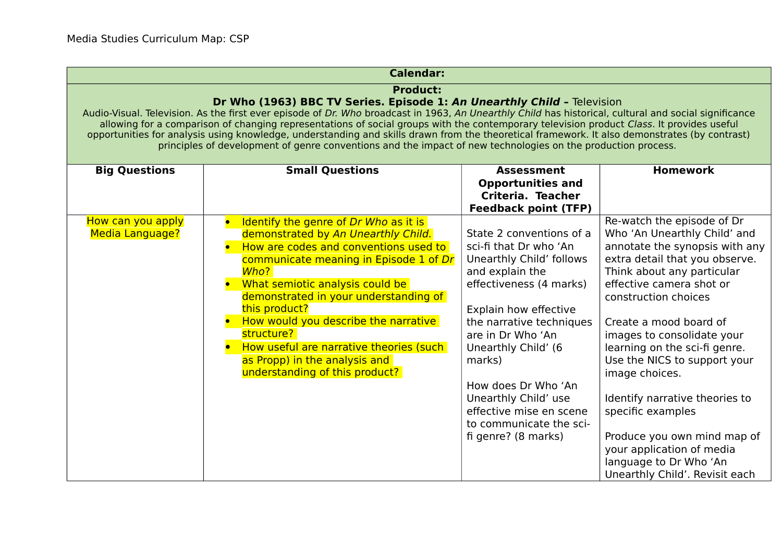#### **Product:**

## **Dr Who (1963) BBC TV Series. Episode 1: An Unearthly Child –** Television

Audio-Visual. Television. As the first ever episode of Dr. Who broadcast in 1963, An Unearthly Child has historical, cultural and social significance allowing for a comparison of changing representations of social groups with the contemporary television product Class. It provides useful opportunities for analysis using knowledge, understanding and skills drawn from the theoretical framework. It also demonstrates (by contrast) principles of development of genre conventions and the impact of new technologies on the production process.

| <b>Big Questions</b>                        | <b>Small Questions</b>                                                                                                                                                                                                                                                                                                                                                                                                                   | <b>Assessment</b><br><b>Opportunities and</b><br>Criteria. Teacher                                                                                                                                                                                                                                                                                                  | <b>Homework</b>                                                                                                                                                                                                                                                                                                                                                                                                                                                                |
|---------------------------------------------|------------------------------------------------------------------------------------------------------------------------------------------------------------------------------------------------------------------------------------------------------------------------------------------------------------------------------------------------------------------------------------------------------------------------------------------|---------------------------------------------------------------------------------------------------------------------------------------------------------------------------------------------------------------------------------------------------------------------------------------------------------------------------------------------------------------------|--------------------------------------------------------------------------------------------------------------------------------------------------------------------------------------------------------------------------------------------------------------------------------------------------------------------------------------------------------------------------------------------------------------------------------------------------------------------------------|
|                                             |                                                                                                                                                                                                                                                                                                                                                                                                                                          | <b>Feedback point (TFP)</b>                                                                                                                                                                                                                                                                                                                                         |                                                                                                                                                                                                                                                                                                                                                                                                                                                                                |
| How can you apply<br><b>Media Language?</b> | Identify the genre of Dr Who as it is<br>demonstrated by An Unearthly Child.<br>How are codes and conventions used to<br>communicate meaning in Episode 1 of Dr<br>Who?<br>What semiotic analysis could be<br>demonstrated in your understanding of<br>this product?<br>How would you describe the narrative<br>structure?<br>How useful are narrative theories (such<br>as Propp) in the analysis and<br>understanding of this product? | State 2 conventions of a<br>sci-fi that Dr who 'An<br>Unearthly Child' follows<br>and explain the<br>effectiveness (4 marks)<br>Explain how effective<br>the narrative techniques<br>are in Dr Who 'An<br>Unearthly Child' (6<br>marks)<br>How does Dr Who 'An<br>Unearthly Child' use<br>effective mise en scene<br>to communicate the sci-<br>fi genre? (8 marks) | Re-watch the episode of Dr<br>Who 'An Unearthly Child' and<br>annotate the synopsis with any<br>extra detail that you observe.<br>Think about any particular<br>effective camera shot or<br>construction choices<br>Create a mood board of<br>images to consolidate your<br>learning on the sci-fi genre.<br>Use the NICS to support your<br>image choices.<br>Identify narrative theories to<br>specific examples<br>Produce you own mind map of<br>your application of media |
|                                             |                                                                                                                                                                                                                                                                                                                                                                                                                                          |                                                                                                                                                                                                                                                                                                                                                                     | language to Dr Who 'An<br>Unearthly Child'. Revisit each                                                                                                                                                                                                                                                                                                                                                                                                                       |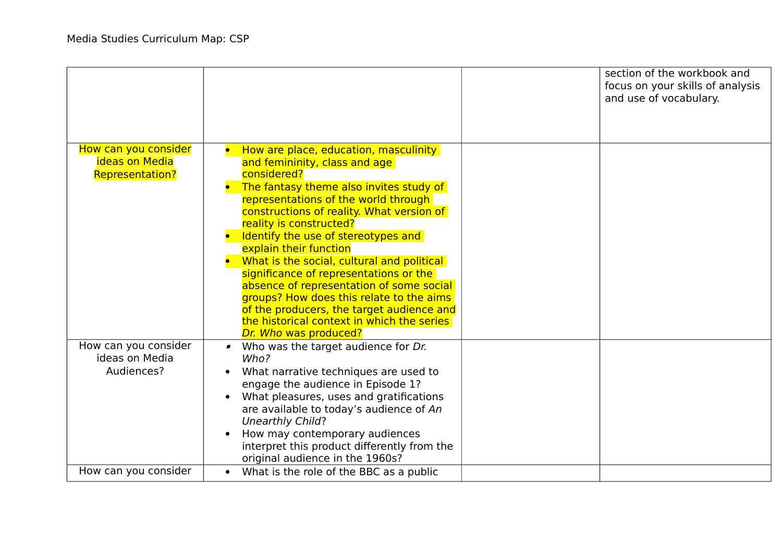|                                        |                                                                                         | section of the workbook and<br>focus on your skills of analysis<br>and use of vocabulary. |
|----------------------------------------|-----------------------------------------------------------------------------------------|-------------------------------------------------------------------------------------------|
| How can you consider                   | How are place, education, masculinity                                                   |                                                                                           |
| <b>ideas on Media</b>                  | and femininity, class and age                                                           |                                                                                           |
| <b>Representation?</b>                 | considered?                                                                             |                                                                                           |
|                                        | The fantasy theme also invites study of                                                 |                                                                                           |
|                                        | representations of the world through                                                    |                                                                                           |
|                                        | constructions of reality. What version of<br>reality is constructed?                    |                                                                                           |
|                                        | Identify the use of stereotypes and                                                     |                                                                                           |
|                                        | explain their function                                                                  |                                                                                           |
|                                        | What is the social, cultural and political                                              |                                                                                           |
|                                        | significance of representations or the                                                  |                                                                                           |
|                                        | absence of representation of some social                                                |                                                                                           |
|                                        | groups? How does this relate to the aims                                                |                                                                                           |
|                                        | of the producers, the target audience and<br>the historical context in which the series |                                                                                           |
|                                        | Dr. Who was produced?                                                                   |                                                                                           |
| How can you consider<br>ideas on Media | Who was the target audience for Dr.<br>Who?                                             |                                                                                           |
| Audiences?                             | What narrative techniques are used to                                                   |                                                                                           |
|                                        | engage the audience in Episode 1?                                                       |                                                                                           |
|                                        | What pleasures, uses and gratifications                                                 |                                                                                           |
|                                        | are available to today's audience of An                                                 |                                                                                           |
|                                        | <b>Unearthly Child?</b>                                                                 |                                                                                           |
|                                        | How may contemporary audiences                                                          |                                                                                           |
|                                        | interpret this product differently from the                                             |                                                                                           |
|                                        | original audience in the 1960s?                                                         |                                                                                           |
| How can you consider                   | What is the role of the BBC as a public                                                 |                                                                                           |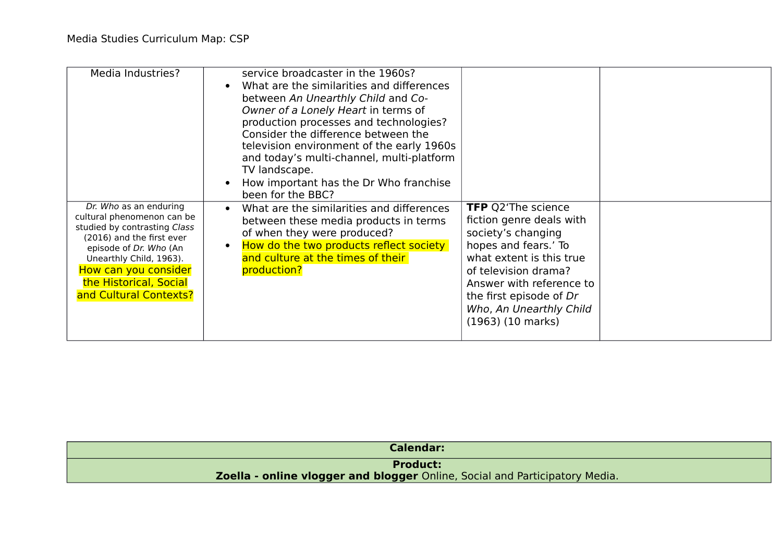| Media Industries?                                                                                                                                                                                                                                  | service broadcaster in the 1960s?<br>What are the similarities and differences<br>between An Unearthly Child and Co-<br>Owner of a Lonely Heart in terms of<br>production processes and technologies?<br>Consider the difference between the<br>television environment of the early 1960s<br>and today's multi-channel, multi-platform<br>TV landscape.<br>How important has the Dr Who franchise<br>been for the BBC? |                                                                                                                                                                                                                                                                            |  |
|----------------------------------------------------------------------------------------------------------------------------------------------------------------------------------------------------------------------------------------------------|------------------------------------------------------------------------------------------------------------------------------------------------------------------------------------------------------------------------------------------------------------------------------------------------------------------------------------------------------------------------------------------------------------------------|----------------------------------------------------------------------------------------------------------------------------------------------------------------------------------------------------------------------------------------------------------------------------|--|
| Dr. Who as an enduring<br>cultural phenomenon can be<br>studied by contrasting Class<br>(2016) and the first ever<br>episode of Dr. Who (An<br>Unearthly Child, 1963).<br>How can you consider<br>the Historical, Social<br>and Cultural Contexts? | What are the similarities and differences<br>between these media products in terms<br>of when they were produced?<br>How do the two products reflect society<br>and culture at the times of their<br>production?                                                                                                                                                                                                       | <b>TFP</b> Q2'The science<br>fiction genre deals with<br>society's changing<br>hopes and fears.' To<br>what extent is this true<br>of television drama?<br>Answer with reference to<br>the first episode of Dr<br>Who, An Unearthly Child<br>$(1963)$ $(10 \text{ marks})$ |  |

| <b>Calendar:</b>                                                            |
|-----------------------------------------------------------------------------|
| <b>Product:</b>                                                             |
| Zoella - online vlogger and blogger Online, Social and Participatory Media. |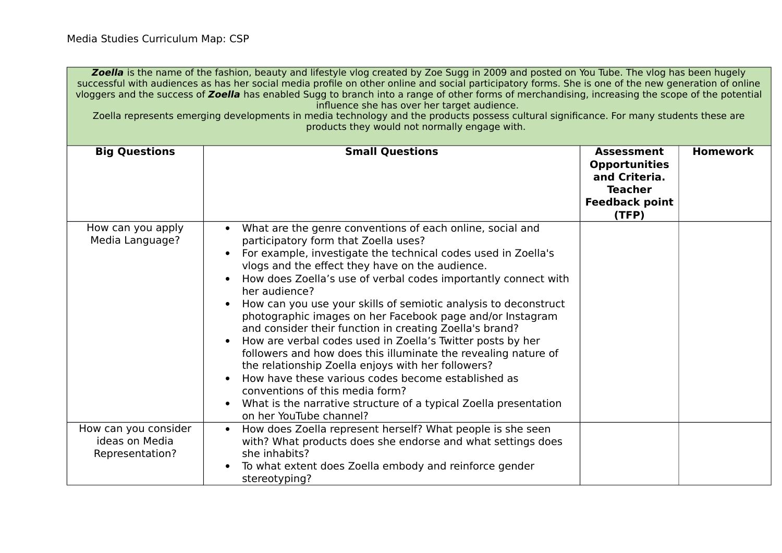**Zoella** is the name of the fashion, beauty and lifestyle vlog created by Zoe Sugg in 2009 and posted on You Tube. The vlog has been hugely successful with audiences as has her social media profile on other online and social participatory forms. She is one of the new generation of online vloggers and the success of **Zoella** has enabled Sugg to branch into a range of other forms of merchandising, increasing the scope of the potential influence she has over her target audience.

Zoella represents emerging developments in media technology and the products possess cultural significance. For many students these are products they would not normally engage with.

| <b>Big Questions</b>                                      | <b>Small Questions</b>                                                                                                                                                                                                                                                                                                                                                                                                                                                                                                                                                                                                                                                                                                                                                                                                                                                            | <b>Assessment</b><br><b>Opportunities</b><br>and Criteria.<br><b>Teacher</b><br><b>Feedback point</b><br>(TFP) | <b>Homework</b> |
|-----------------------------------------------------------|-----------------------------------------------------------------------------------------------------------------------------------------------------------------------------------------------------------------------------------------------------------------------------------------------------------------------------------------------------------------------------------------------------------------------------------------------------------------------------------------------------------------------------------------------------------------------------------------------------------------------------------------------------------------------------------------------------------------------------------------------------------------------------------------------------------------------------------------------------------------------------------|----------------------------------------------------------------------------------------------------------------|-----------------|
| How can you apply<br>Media Language?                      | What are the genre conventions of each online, social and<br>participatory form that Zoella uses?<br>For example, investigate the technical codes used in Zoella's<br>vlogs and the effect they have on the audience.<br>How does Zoella's use of verbal codes importantly connect with<br>her audience?<br>How can you use your skills of semiotic analysis to deconstruct<br>photographic images on her Facebook page and/or Instagram<br>and consider their function in creating Zoella's brand?<br>How are verbal codes used in Zoella's Twitter posts by her<br>followers and how does this illuminate the revealing nature of<br>the relationship Zoella enjoys with her followers?<br>How have these various codes become established as<br>conventions of this media form?<br>What is the narrative structure of a typical Zoella presentation<br>on her YouTube channel? |                                                                                                                |                 |
| How can you consider<br>ideas on Media<br>Representation? | How does Zoella represent herself? What people is she seen<br>$\bullet$<br>with? What products does she endorse and what settings does<br>she inhabits?<br>To what extent does Zoella embody and reinforce gender<br>stereotyping?                                                                                                                                                                                                                                                                                                                                                                                                                                                                                                                                                                                                                                                |                                                                                                                |                 |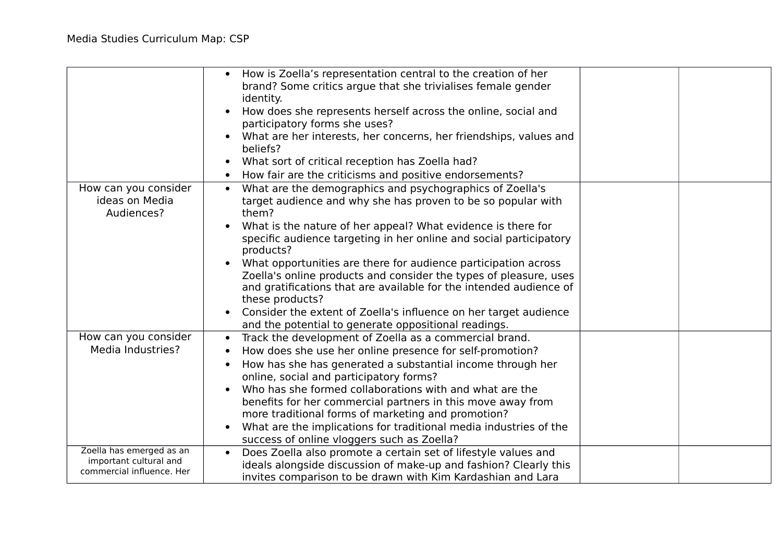|                                                                                 | How is Zoella's representation central to the creation of her<br>brand? Some critics argue that she trivialises female gender<br>identity.<br>How does she represents herself across the online, social and<br>participatory forms she uses?<br>What are her interests, her concerns, her friendships, values and<br>beliefs?<br>What sort of critical reception has Zoella had?<br>How fair are the criticisms and positive endorsements?                                                                                                                                                                                                       |  |
|---------------------------------------------------------------------------------|--------------------------------------------------------------------------------------------------------------------------------------------------------------------------------------------------------------------------------------------------------------------------------------------------------------------------------------------------------------------------------------------------------------------------------------------------------------------------------------------------------------------------------------------------------------------------------------------------------------------------------------------------|--|
| How can you consider<br>ideas on Media<br>Audiences?                            | What are the demographics and psychographics of Zoella's<br>target audience and why she has proven to be so popular with<br>them?<br>What is the nature of her appeal? What evidence is there for<br>specific audience targeting in her online and social participatory<br>products?<br>What opportunities are there for audience participation across<br>Zoella's online products and consider the types of pleasure, uses<br>and gratifications that are available for the intended audience of<br>these products?<br>Consider the extent of Zoella's influence on her target audience<br>and the potential to generate oppositional readings. |  |
| How can you consider<br>Media Industries?                                       | Track the development of Zoella as a commercial brand.<br>$\bullet$<br>How does she use her online presence for self-promotion?<br>How has she has generated a substantial income through her<br>online, social and participatory forms?<br>Who has she formed collaborations with and what are the<br>benefits for her commercial partners in this move away from<br>more traditional forms of marketing and promotion?<br>What are the implications for traditional media industries of the<br>$\bullet$<br>success of online vloggers such as Zoella?                                                                                         |  |
| Zoella has emerged as an<br>important cultural and<br>commercial influence. Her | Does Zoella also promote a certain set of lifestyle values and<br>ideals alongside discussion of make-up and fashion? Clearly this<br>invites comparison to be drawn with Kim Kardashian and Lara                                                                                                                                                                                                                                                                                                                                                                                                                                                |  |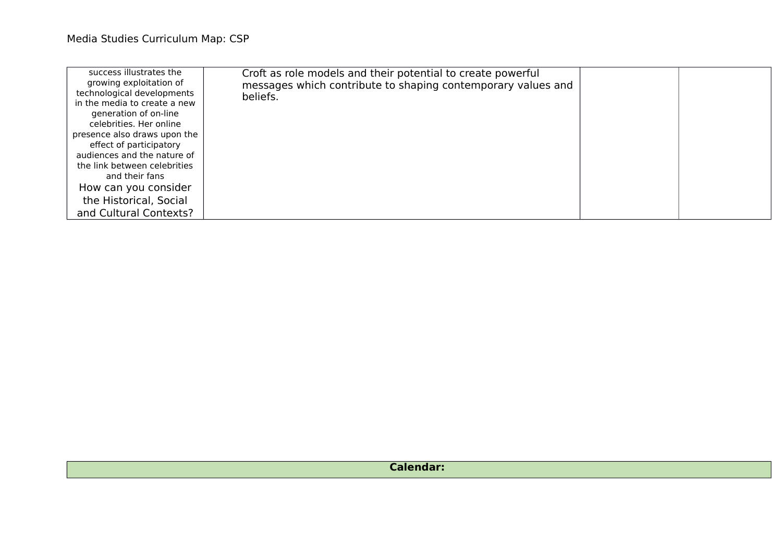| success illustrates the<br>growing exploitation of<br>technological developments<br>in the media to create a new<br>generation of on-line<br>celebrities. Her online<br>presence also draws upon the<br>effect of participatory<br>audiences and the nature of<br>the link between celebrities<br>and their fans<br>How can you consider<br>the Historical, Social | Croft as role models and their potential to create powerful<br>messages which contribute to shaping contemporary values and<br>beliefs. |  |
|--------------------------------------------------------------------------------------------------------------------------------------------------------------------------------------------------------------------------------------------------------------------------------------------------------------------------------------------------------------------|-----------------------------------------------------------------------------------------------------------------------------------------|--|
| and Cultural Contexts?                                                                                                                                                                                                                                                                                                                                             |                                                                                                                                         |  |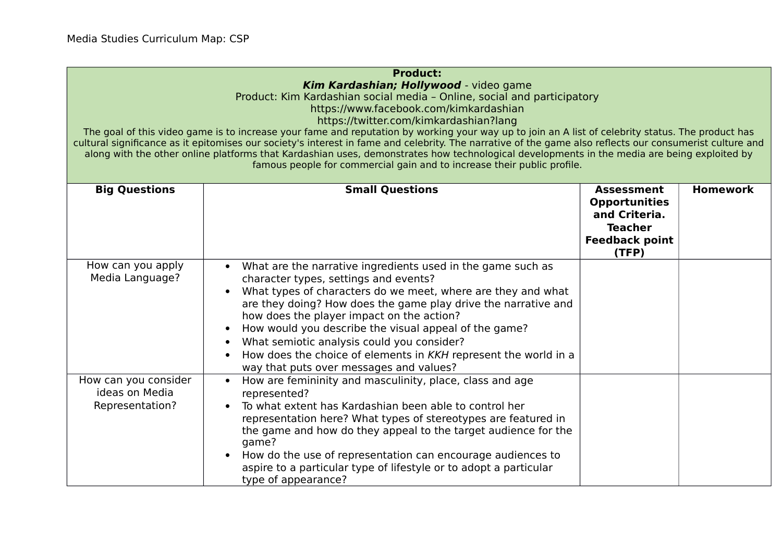#### **Product: Kim Kardashian; Hollywood** - video game

Product: Kim Kardashian social media – Online, social and participatory

https://www.facebook.com/kimkardashian

https://twitter.com/kimkardashian?lang

The goal of this video game is to increase your fame and reputation by working your way up to join an A list of celebrity status. The product has cultural significance as it epitomises our society's interest in fame and celebrity. The narrative of the game also reflects our consumerist culture and along with the other online platforms that Kardashian uses, demonstrates how technological developments in the media are being exploited by famous people for commercial gain and to increase their public profile.

| <b>Big Questions</b>                                      | <b>Small Questions</b>                                                                                                                                                                                                                                                                                                                                                                                                                                                                                   | <b>Assessment</b><br><b>Opportunities</b><br>and Criteria.<br><b>Teacher</b><br><b>Feedback point</b><br>(TFP) | <b>Homework</b> |
|-----------------------------------------------------------|----------------------------------------------------------------------------------------------------------------------------------------------------------------------------------------------------------------------------------------------------------------------------------------------------------------------------------------------------------------------------------------------------------------------------------------------------------------------------------------------------------|----------------------------------------------------------------------------------------------------------------|-----------------|
| How can you apply<br>Media Language?                      | What are the narrative ingredients used in the game such as<br>character types, settings and events?<br>What types of characters do we meet, where are they and what<br>are they doing? How does the game play drive the narrative and<br>how does the player impact on the action?<br>How would you describe the visual appeal of the game?<br>What semiotic analysis could you consider?<br>How does the choice of elements in KKH represent the world in a<br>way that puts over messages and values? |                                                                                                                |                 |
| How can you consider<br>ideas on Media<br>Representation? | How are femininity and masculinity, place, class and age<br>represented?<br>To what extent has Kardashian been able to control her<br>representation here? What types of stereotypes are featured in<br>the game and how do they appeal to the target audience for the<br>game?<br>How do the use of representation can encourage audiences to<br>aspire to a particular type of lifestyle or to adopt a particular<br>type of appearance?                                                               |                                                                                                                |                 |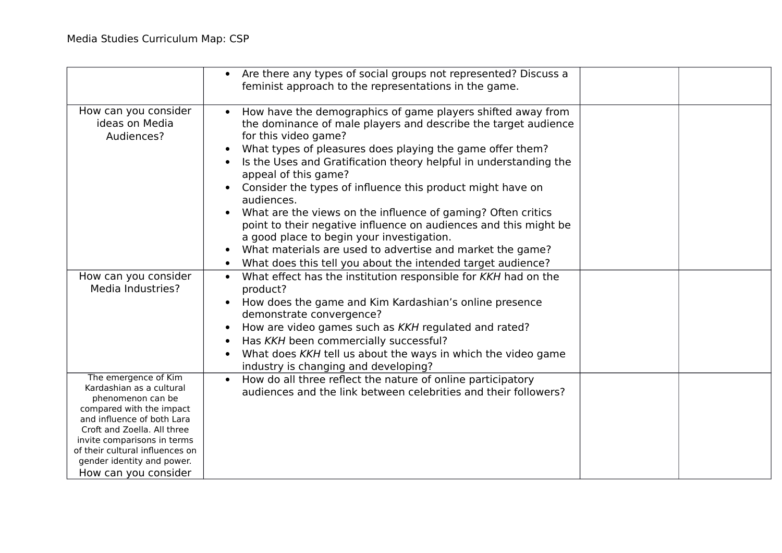|                                                                                                                                                                                                                                                                                        | Are there any types of social groups not represented? Discuss a<br>feminist approach to the representations in the game.                                                                                                                                                                                                                                                                                                                                                                                                                                                                                                                                                                                 |  |
|----------------------------------------------------------------------------------------------------------------------------------------------------------------------------------------------------------------------------------------------------------------------------------------|----------------------------------------------------------------------------------------------------------------------------------------------------------------------------------------------------------------------------------------------------------------------------------------------------------------------------------------------------------------------------------------------------------------------------------------------------------------------------------------------------------------------------------------------------------------------------------------------------------------------------------------------------------------------------------------------------------|--|
| How can you consider<br>ideas on Media<br>Audiences?                                                                                                                                                                                                                                   | How have the demographics of game players shifted away from<br>the dominance of male players and describe the target audience<br>for this video game?<br>What types of pleasures does playing the game offer them?<br>Is the Uses and Gratification theory helpful in understanding the<br>appeal of this game?<br>Consider the types of influence this product might have on<br>audiences.<br>What are the views on the influence of gaming? Often critics<br>point to their negative influence on audiences and this might be<br>a good place to begin your investigation.<br>What materials are used to advertise and market the game?<br>What does this tell you about the intended target audience? |  |
| How can you consider<br>Media Industries?                                                                                                                                                                                                                                              | What effect has the institution responsible for KKH had on the<br>product?<br>How does the game and Kim Kardashian's online presence<br>demonstrate convergence?<br>How are video games such as KKH regulated and rated?<br>Has KKH been commercially successful?<br>What does KKH tell us about the ways in which the video game<br>industry is changing and developing?                                                                                                                                                                                                                                                                                                                                |  |
| The emergence of Kim<br>Kardashian as a cultural<br>phenomenon can be<br>compared with the impact<br>and influence of both Lara<br>Croft and Zoella. All three<br>invite comparisons in terms<br>of their cultural influences on<br>gender identity and power.<br>How can you consider | How do all three reflect the nature of online participatory<br>$\bullet$<br>audiences and the link between celebrities and their followers?                                                                                                                                                                                                                                                                                                                                                                                                                                                                                                                                                              |  |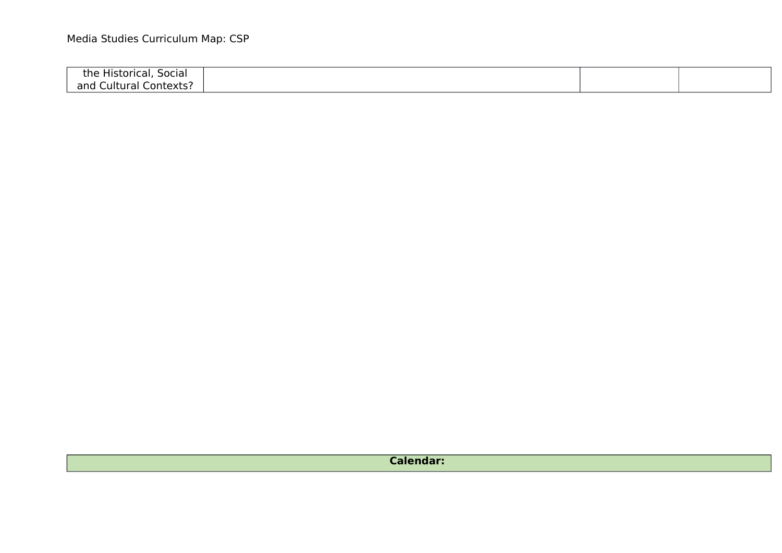| the<br>50cial<br>.<br>: Filstorical. |  |  |
|--------------------------------------|--|--|
| and<br>Contexts?<br>ult<br>urai      |  |  |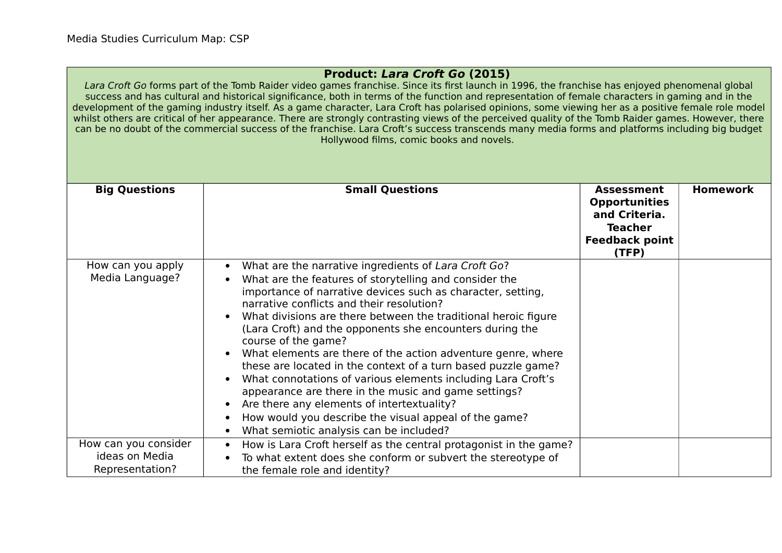# **Product: Lara Croft Go (2015)**

Lara Croft Go forms part of the Tomb Raider video games franchise. Since its first launch in 1996, the franchise has enjoyed phenomenal global success and has cultural and historical significance, both in terms of the function and representation of female characters in gaming and in the development of the gaming industry itself. As a game character, Lara Croft has polarised opinions, some viewing her as a positive female role model whilst others are critical of her appearance. There are strongly contrasting views of the perceived quality of the Tomb Raider games. However, there can be no doubt of the commercial success of the franchise. Lara Croft's success transcends many media forms and platforms including big budget Hollywood films, comic books and novels.

| <b>Big Questions</b>                 | <b>Small Questions</b>                                                                                                                                                                                                                                                                                                                                                                                                                                                                                                                                                                                                                                                                                                                                                                     | <b>Assessment</b><br><b>Opportunities</b><br>and Criteria.<br><b>Teacher</b><br><b>Feedback point</b><br>(TFP) | <b>Homework</b> |
|--------------------------------------|--------------------------------------------------------------------------------------------------------------------------------------------------------------------------------------------------------------------------------------------------------------------------------------------------------------------------------------------------------------------------------------------------------------------------------------------------------------------------------------------------------------------------------------------------------------------------------------------------------------------------------------------------------------------------------------------------------------------------------------------------------------------------------------------|----------------------------------------------------------------------------------------------------------------|-----------------|
| How can you apply<br>Media Language? | What are the narrative ingredients of Lara Croft Go?<br>What are the features of storytelling and consider the<br>importance of narrative devices such as character, setting,<br>narrative conflicts and their resolution?<br>What divisions are there between the traditional heroic figure<br>(Lara Croft) and the opponents she encounters during the<br>course of the game?<br>What elements are there of the action adventure genre, where<br>these are located in the context of a turn based puzzle game?<br>What connotations of various elements including Lara Croft's<br>appearance are there in the music and game settings?<br>Are there any elements of intertextuality?<br>How would you describe the visual appeal of the game?<br>What semiotic analysis can be included? |                                                                                                                |                 |
| How can you consider                 | How is Lara Croft herself as the central protagonist in the game?<br>$\bullet$                                                                                                                                                                                                                                                                                                                                                                                                                                                                                                                                                                                                                                                                                                             |                                                                                                                |                 |
| ideas on Media<br>Representation?    | To what extent does she conform or subvert the stereotype of<br>the female role and identity?                                                                                                                                                                                                                                                                                                                                                                                                                                                                                                                                                                                                                                                                                              |                                                                                                                |                 |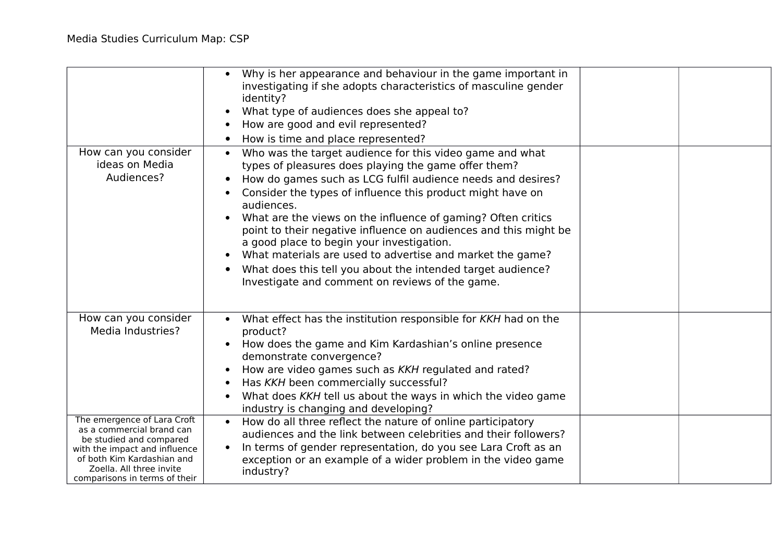| How can you consider<br>ideas on Media<br>Audiences?                                                                                                                                                            | Why is her appearance and behaviour in the game important in<br>investigating if she adopts characteristics of masculine gender<br>identity?<br>What type of audiences does she appeal to?<br>How are good and evil represented?<br>How is time and place represented?<br>Who was the target audience for this video game and what<br>$\bullet$<br>types of pleasures does playing the game offer them?<br>How do games such as LCG fulfil audience needs and desires?<br>Consider the types of influence this product might have on<br>audiences.<br>What are the views on the influence of gaming? Often critics<br>point to their negative influence on audiences and this might be<br>a good place to begin your investigation.<br>What materials are used to advertise and market the game?<br>What does this tell you about the intended target audience?<br>Investigate and comment on reviews of the game. |  |
|-----------------------------------------------------------------------------------------------------------------------------------------------------------------------------------------------------------------|--------------------------------------------------------------------------------------------------------------------------------------------------------------------------------------------------------------------------------------------------------------------------------------------------------------------------------------------------------------------------------------------------------------------------------------------------------------------------------------------------------------------------------------------------------------------------------------------------------------------------------------------------------------------------------------------------------------------------------------------------------------------------------------------------------------------------------------------------------------------------------------------------------------------|--|
| How can you consider                                                                                                                                                                                            | What effect has the institution responsible for KKH had on the                                                                                                                                                                                                                                                                                                                                                                                                                                                                                                                                                                                                                                                                                                                                                                                                                                                     |  |
| Media Industries?                                                                                                                                                                                               | product?<br>How does the game and Kim Kardashian's online presence                                                                                                                                                                                                                                                                                                                                                                                                                                                                                                                                                                                                                                                                                                                                                                                                                                                 |  |
|                                                                                                                                                                                                                 | demonstrate convergence?<br>How are video games such as KKH regulated and rated?<br>Has KKH been commercially successful?<br>What does KKH tell us about the ways in which the video game<br>industry is changing and developing?                                                                                                                                                                                                                                                                                                                                                                                                                                                                                                                                                                                                                                                                                  |  |
| The emergence of Lara Croft<br>as a commercial brand can<br>be studied and compared<br>with the impact and influence<br>of both Kim Kardashian and<br>Zoella. All three invite<br>comparisons in terms of their | How do all three reflect the nature of online participatory<br>audiences and the link between celebrities and their followers?<br>In terms of gender representation, do you see Lara Croft as an<br>exception or an example of a wider problem in the video game<br>industry?                                                                                                                                                                                                                                                                                                                                                                                                                                                                                                                                                                                                                                      |  |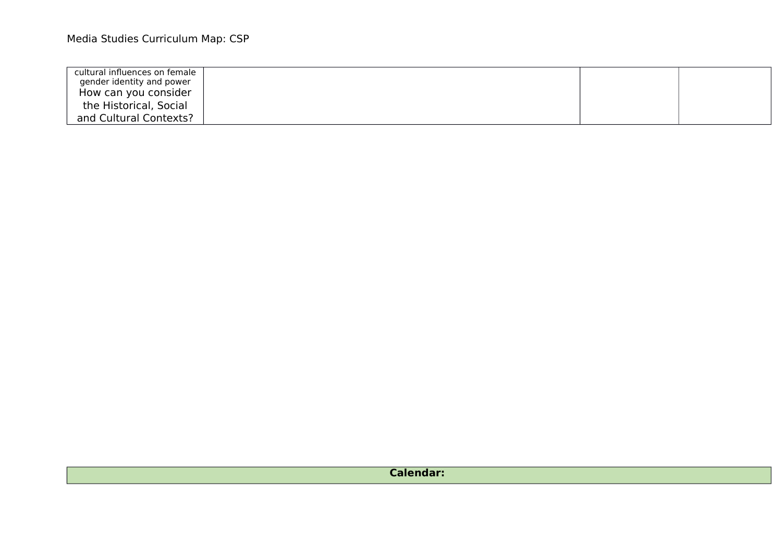| cultural influences on female |  |  |
|-------------------------------|--|--|
| gender identity and power     |  |  |
| How can you consider          |  |  |
| the Historical, Social        |  |  |
| and Cultural Contexts?        |  |  |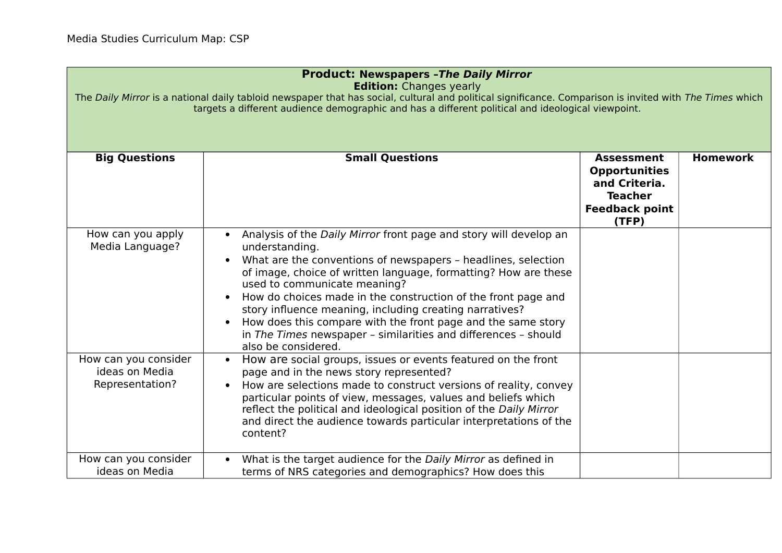### **Product: Newspapers –The Daily Mirror Edition:** Changes yearly

The Daily Mirror is a national daily tabloid newspaper that has social, cultural and political significance. Comparison is invited with The Times which targets a different audience demographic and has a different political and ideological viewpoint.

| <b>Big Questions</b>                                      | <b>Small Questions</b>                                                                                                                                                                                                                                                                                                                                                                                                                                                                                                                       | <b>Assessment</b><br><b>Opportunities</b><br>and Criteria.<br><b>Teacher</b><br><b>Feedback point</b><br>(TFP) | <b>Homework</b> |
|-----------------------------------------------------------|----------------------------------------------------------------------------------------------------------------------------------------------------------------------------------------------------------------------------------------------------------------------------------------------------------------------------------------------------------------------------------------------------------------------------------------------------------------------------------------------------------------------------------------------|----------------------------------------------------------------------------------------------------------------|-----------------|
| How can you apply<br>Media Language?                      | Analysis of the Daily Mirror front page and story will develop an<br>understanding.<br>What are the conventions of newspapers - headlines, selection<br>of image, choice of written language, formatting? How are these<br>used to communicate meaning?<br>How do choices made in the construction of the front page and<br>story influence meaning, including creating narratives?<br>How does this compare with the front page and the same story<br>in The Times newspaper - similarities and differences - should<br>also be considered. |                                                                                                                |                 |
| How can you consider<br>ideas on Media<br>Representation? | How are social groups, issues or events featured on the front<br>page and in the news story represented?<br>How are selections made to construct versions of reality, convey<br>particular points of view, messages, values and beliefs which<br>reflect the political and ideological position of the Daily Mirror<br>and direct the audience towards particular interpretations of the<br>content?                                                                                                                                         |                                                                                                                |                 |
| How can you consider<br>ideas on Media                    | What is the target audience for the Daily Mirror as defined in<br>$\bullet$<br>terms of NRS categories and demographics? How does this                                                                                                                                                                                                                                                                                                                                                                                                       |                                                                                                                |                 |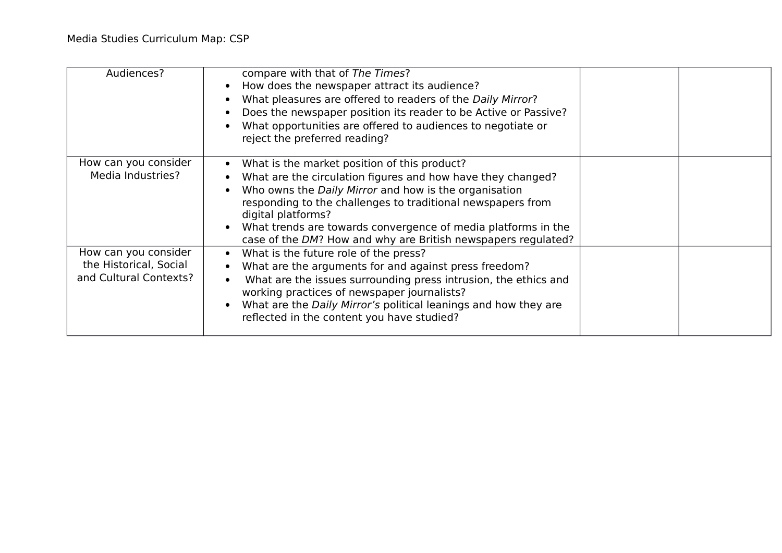| Audiences?                                                               | compare with that of The Times?<br>How does the newspaper attract its audience?<br>What pleasures are offered to readers of the Daily Mirror?<br>Does the newspaper position its reader to be Active or Passive?<br>What opportunities are offered to audiences to negotiate or<br>reject the preferred reading?                                                                            |  |
|--------------------------------------------------------------------------|---------------------------------------------------------------------------------------------------------------------------------------------------------------------------------------------------------------------------------------------------------------------------------------------------------------------------------------------------------------------------------------------|--|
| How can you consider<br>Media Industries?                                | What is the market position of this product?<br>What are the circulation figures and how have they changed?<br>Who owns the Daily Mirror and how is the organisation<br>responding to the challenges to traditional newspapers from<br>digital platforms?<br>What trends are towards convergence of media platforms in the<br>case of the DM? How and why are British newspapers regulated? |  |
| How can you consider<br>the Historical, Social<br>and Cultural Contexts? | What is the future role of the press?<br>What are the arguments for and against press freedom?<br>What are the issues surrounding press intrusion, the ethics and<br>working practices of newspaper journalists?<br>What are the Daily Mirror's political leanings and how they are<br>reflected in the content you have studied?                                                           |  |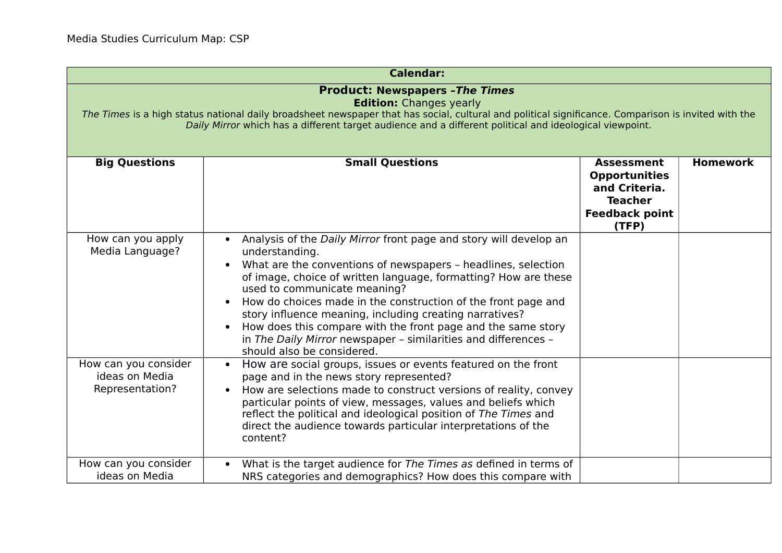| <b>Calendar:</b>                                                                                                                                                                                                                                                                                                                           |                                                                                                                                                                                                                                                                                                                                                                                                                                                                                                                                                                  |                                                                                                                |                 |
|--------------------------------------------------------------------------------------------------------------------------------------------------------------------------------------------------------------------------------------------------------------------------------------------------------------------------------------------|------------------------------------------------------------------------------------------------------------------------------------------------------------------------------------------------------------------------------------------------------------------------------------------------------------------------------------------------------------------------------------------------------------------------------------------------------------------------------------------------------------------------------------------------------------------|----------------------------------------------------------------------------------------------------------------|-----------------|
| <b>Product: Newspapers - The Times</b><br><b>Edition:</b> Changes yearly<br>The Times is a high status national daily broadsheet newspaper that has social, cultural and political significance. Comparison is invited with the<br>Daily Mirror which has a different target audience and a different political and ideological viewpoint. |                                                                                                                                                                                                                                                                                                                                                                                                                                                                                                                                                                  |                                                                                                                |                 |
| <b>Big Questions</b>                                                                                                                                                                                                                                                                                                                       | <b>Small Questions</b>                                                                                                                                                                                                                                                                                                                                                                                                                                                                                                                                           | <b>Assessment</b><br><b>Opportunities</b><br>and Criteria.<br><b>Teacher</b><br><b>Feedback point</b><br>(TFP) | <b>Homework</b> |
| How can you apply<br>Media Language?                                                                                                                                                                                                                                                                                                       | Analysis of the Daily Mirror front page and story will develop an<br>understanding.<br>What are the conventions of newspapers - headlines, selection<br>$\bullet$<br>of image, choice of written language, formatting? How are these<br>used to communicate meaning?<br>How do choices made in the construction of the front page and<br>story influence meaning, including creating narratives?<br>How does this compare with the front page and the same story<br>in The Daily Mirror newspaper - similarities and differences -<br>should also be considered. |                                                                                                                |                 |
| How can you consider<br>ideas on Media<br>Representation?                                                                                                                                                                                                                                                                                  | How are social groups, issues or events featured on the front<br>$\bullet$<br>page and in the news story represented?<br>How are selections made to construct versions of reality, convey<br>particular points of view, messages, values and beliefs which<br>reflect the political and ideological position of The Times and<br>direct the audience towards particular interpretations of the<br>content?                                                                                                                                                       |                                                                                                                |                 |
| How can you consider<br>ideas on Media                                                                                                                                                                                                                                                                                                     | What is the target audience for The Times as defined in terms of<br>NRS categories and demographics? How does this compare with                                                                                                                                                                                                                                                                                                                                                                                                                                  |                                                                                                                |                 |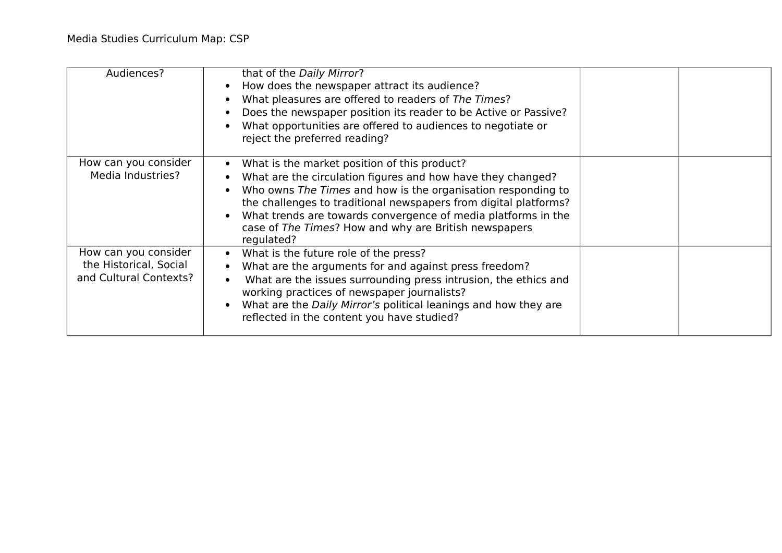| Audiences?                                                               | that of the Daily Mirror?<br>How does the newspaper attract its audience?<br>What pleasures are offered to readers of The Times?<br>Does the newspaper position its reader to be Active or Passive?<br>What opportunities are offered to audiences to negotiate or<br>reject the preferred reading?                                                                                     |  |
|--------------------------------------------------------------------------|-----------------------------------------------------------------------------------------------------------------------------------------------------------------------------------------------------------------------------------------------------------------------------------------------------------------------------------------------------------------------------------------|--|
| How can you consider<br>Media Industries?                                | What is the market position of this product?<br>What are the circulation figures and how have they changed?<br>Who owns The Times and how is the organisation responding to<br>the challenges to traditional newspapers from digital platforms?<br>What trends are towards convergence of media platforms in the<br>case of The Times? How and why are British newspapers<br>regulated? |  |
| How can you consider<br>the Historical, Social<br>and Cultural Contexts? | What is the future role of the press?<br>What are the arguments for and against press freedom?<br>What are the issues surrounding press intrusion, the ethics and<br>working practices of newspaper journalists?<br>What are the Daily Mirror's political leanings and how they are<br>reflected in the content you have studied?                                                       |  |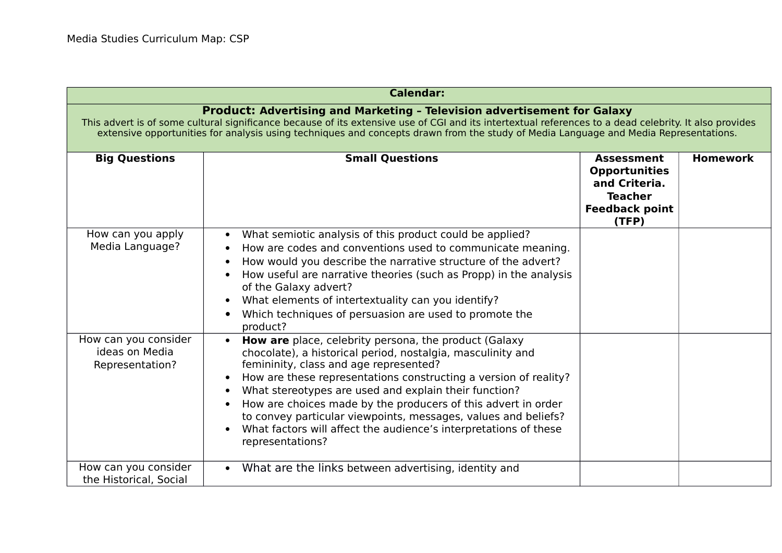the Historical, Social

| <b>Calendar:</b>                                                                                                                                                                                                                                                                                                                                                           |                                                                                                                                                                                                                                                                                                                                                                                                                                                                                                                        |                                                                                                                |                 |
|----------------------------------------------------------------------------------------------------------------------------------------------------------------------------------------------------------------------------------------------------------------------------------------------------------------------------------------------------------------------------|------------------------------------------------------------------------------------------------------------------------------------------------------------------------------------------------------------------------------------------------------------------------------------------------------------------------------------------------------------------------------------------------------------------------------------------------------------------------------------------------------------------------|----------------------------------------------------------------------------------------------------------------|-----------------|
| Product: Advertising and Marketing - Television advertisement for Galaxy<br>This advert is of some cultural significance because of its extensive use of CGI and its intertextual references to a dead celebrity. It also provides<br>extensive opportunities for analysis using techniques and concepts drawn from the study of Media Language and Media Representations. |                                                                                                                                                                                                                                                                                                                                                                                                                                                                                                                        |                                                                                                                |                 |
| <b>Big Questions</b>                                                                                                                                                                                                                                                                                                                                                       | <b>Small Questions</b>                                                                                                                                                                                                                                                                                                                                                                                                                                                                                                 | <b>Assessment</b><br><b>Opportunities</b><br>and Criteria.<br><b>Teacher</b><br><b>Feedback point</b><br>(TFP) | <b>Homework</b> |
| How can you apply<br>Media Language?                                                                                                                                                                                                                                                                                                                                       | What semiotic analysis of this product could be applied?<br>How are codes and conventions used to communicate meaning.<br>How would you describe the narrative structure of the advert?<br>How useful are narrative theories (such as Propp) in the analysis<br>of the Galaxy advert?<br>What elements of intertextuality can you identify?<br>Which techniques of persuasion are used to promote the<br>product?                                                                                                      |                                                                                                                |                 |
| How can you consider<br>ideas on Media<br>Representation?                                                                                                                                                                                                                                                                                                                  | How are place, celebrity persona, the product (Galaxy<br>chocolate), a historical period, nostalgia, masculinity and<br>femininity, class and age represented?<br>How are these representations constructing a version of reality?<br>What stereotypes are used and explain their function?<br>How are choices made by the producers of this advert in order<br>to convey particular viewpoints, messages, values and beliefs?<br>What factors will affect the audience's interpretations of these<br>representations? |                                                                                                                |                 |
| How can you consider                                                                                                                                                                                                                                                                                                                                                       | What are the links between advertising, identity and                                                                                                                                                                                                                                                                                                                                                                                                                                                                   |                                                                                                                |                 |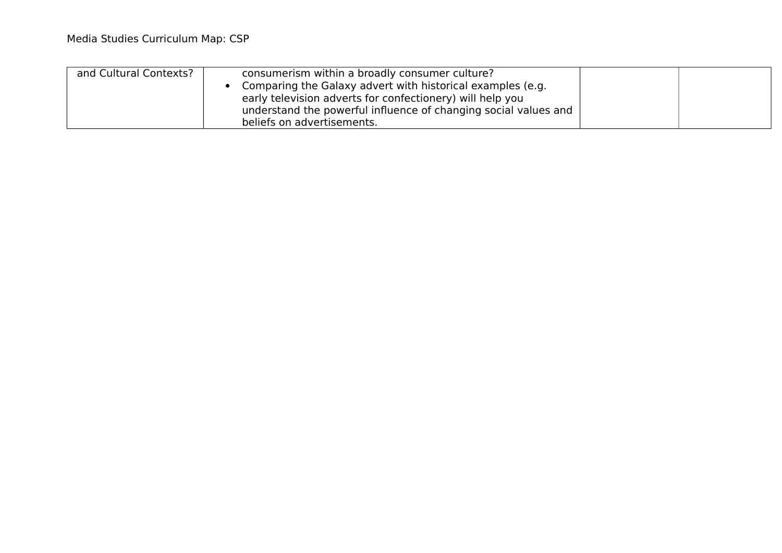| and Cultural Contexts? | consumerism within a broadly consumer culture?<br>Comparing the Galaxy advert with historical examples (e.g.<br>early television adverts for confectionery) will help you |  |
|------------------------|---------------------------------------------------------------------------------------------------------------------------------------------------------------------------|--|
|                        | understand the powerful influence of changing social values and<br>beliefs on advertisements.                                                                             |  |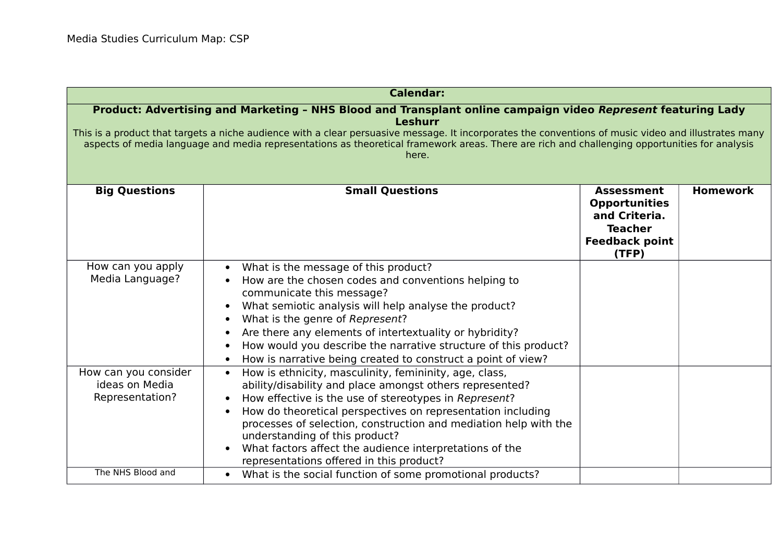| <b>Calendar:</b>                                                                                                                                                                                                                                                                                                                                                                                                                                 |                                                                                                                                                                                                                                                                                                                                                                                                                                                                      |                                                                                                                |                 |
|--------------------------------------------------------------------------------------------------------------------------------------------------------------------------------------------------------------------------------------------------------------------------------------------------------------------------------------------------------------------------------------------------------------------------------------------------|----------------------------------------------------------------------------------------------------------------------------------------------------------------------------------------------------------------------------------------------------------------------------------------------------------------------------------------------------------------------------------------------------------------------------------------------------------------------|----------------------------------------------------------------------------------------------------------------|-----------------|
| Product: Advertising and Marketing - NHS Blood and Transplant online campaign video Represent featuring Lady<br><b>Leshurr</b><br>This is a product that targets a niche audience with a clear persuasive message. It incorporates the conventions of music video and illustrates many<br>aspects of media language and media representations as theoretical framework areas. There are rich and challenging opportunities for analysis<br>here. |                                                                                                                                                                                                                                                                                                                                                                                                                                                                      |                                                                                                                |                 |
| <b>Big Questions</b>                                                                                                                                                                                                                                                                                                                                                                                                                             | <b>Small Questions</b>                                                                                                                                                                                                                                                                                                                                                                                                                                               | <b>Assessment</b><br><b>Opportunities</b><br>and Criteria.<br><b>Teacher</b><br><b>Feedback point</b><br>(TFP) | <b>Homework</b> |
| How can you apply<br>Media Language?                                                                                                                                                                                                                                                                                                                                                                                                             | What is the message of this product?<br>How are the chosen codes and conventions helping to<br>communicate this message?<br>What semiotic analysis will help analyse the product?<br>What is the genre of Represent?<br>Are there any elements of intertextuality or hybridity?<br>How would you describe the narrative structure of this product?<br>How is narrative being created to construct a point of view?                                                   |                                                                                                                |                 |
| How can you consider<br>ideas on Media<br>Representation?                                                                                                                                                                                                                                                                                                                                                                                        | How is ethnicity, masculinity, femininity, age, class,<br>$\bullet$<br>ability/disability and place amongst others represented?<br>How effective is the use of stereotypes in Represent?<br>How do theoretical perspectives on representation including<br>processes of selection, construction and mediation help with the<br>understanding of this product?<br>What factors affect the audience interpretations of the<br>representations offered in this product? |                                                                                                                |                 |
| The NHS Blood and                                                                                                                                                                                                                                                                                                                                                                                                                                | What is the social function of some promotional products?<br>$\bullet$                                                                                                                                                                                                                                                                                                                                                                                               |                                                                                                                |                 |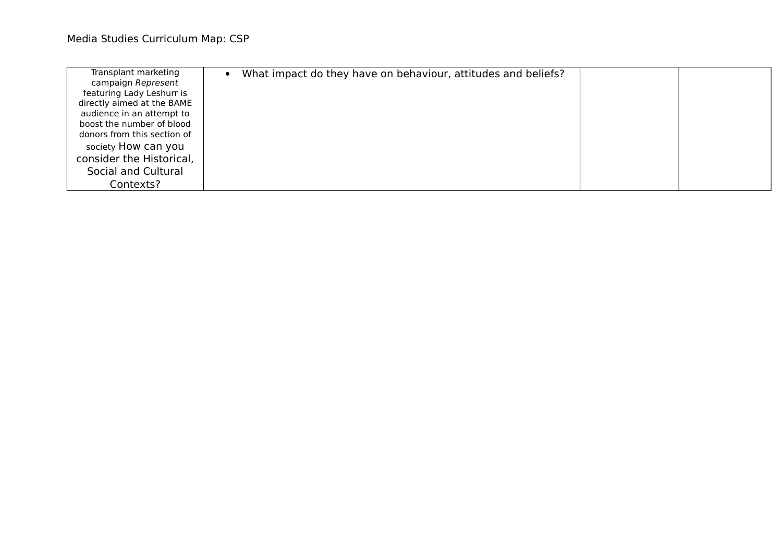| Transplant marketing        | What impact do they have on behaviour, attitudes and beliefs? |  |
|-----------------------------|---------------------------------------------------------------|--|
| campaign Represent          |                                                               |  |
| featuring Lady Leshurr is   |                                                               |  |
| directly aimed at the BAME  |                                                               |  |
| audience in an attempt to   |                                                               |  |
| boost the number of blood   |                                                               |  |
| donors from this section of |                                                               |  |
| society How can you         |                                                               |  |
| consider the Historical,    |                                                               |  |
| Social and Cultural         |                                                               |  |
| Contexts?                   |                                                               |  |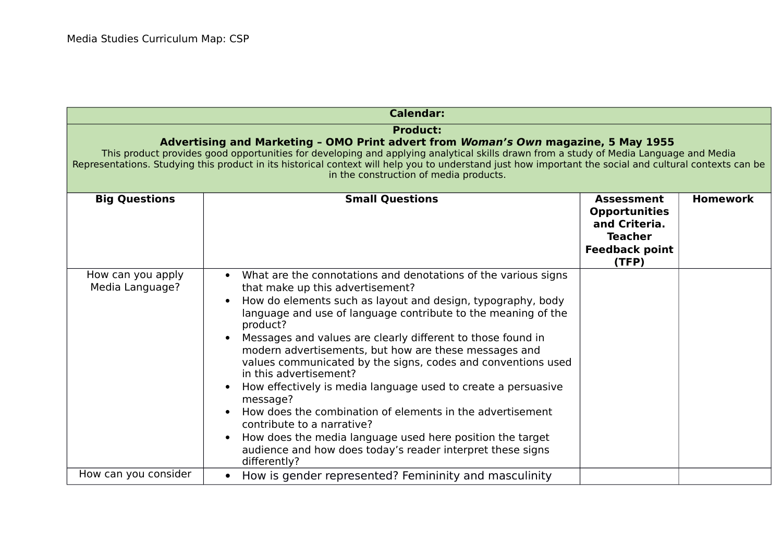|                                                                                                                                                                                                                                                                                                                                                                                                                                                     | <b>Calendar:</b>                                                                                                                                                                                                                                                                                                                                                                                                                                                                                                                                                                                                                                                                                                                                                                    |                                                                                                                |                 |
|-----------------------------------------------------------------------------------------------------------------------------------------------------------------------------------------------------------------------------------------------------------------------------------------------------------------------------------------------------------------------------------------------------------------------------------------------------|-------------------------------------------------------------------------------------------------------------------------------------------------------------------------------------------------------------------------------------------------------------------------------------------------------------------------------------------------------------------------------------------------------------------------------------------------------------------------------------------------------------------------------------------------------------------------------------------------------------------------------------------------------------------------------------------------------------------------------------------------------------------------------------|----------------------------------------------------------------------------------------------------------------|-----------------|
| <b>Product:</b><br>Advertising and Marketing - OMO Print advert from Woman's Own magazine, 5 May 1955<br>This product provides good opportunities for developing and applying analytical skills drawn from a study of Media Language and Media<br>Representations. Studying this product in its historical context will help you to understand just how important the social and cultural contexts can be<br>in the construction of media products. |                                                                                                                                                                                                                                                                                                                                                                                                                                                                                                                                                                                                                                                                                                                                                                                     |                                                                                                                |                 |
| <b>Big Questions</b>                                                                                                                                                                                                                                                                                                                                                                                                                                | <b>Small Questions</b>                                                                                                                                                                                                                                                                                                                                                                                                                                                                                                                                                                                                                                                                                                                                                              | <b>Assessment</b><br><b>Opportunities</b><br>and Criteria.<br><b>Teacher</b><br><b>Feedback point</b><br>(TFP) | <b>Homework</b> |
| How can you apply<br>Media Language?                                                                                                                                                                                                                                                                                                                                                                                                                | What are the connotations and denotations of the various signs<br>that make up this advertisement?<br>How do elements such as layout and design, typography, body<br>language and use of language contribute to the meaning of the<br>product?<br>Messages and values are clearly different to those found in<br>modern advertisements, but how are these messages and<br>values communicated by the signs, codes and conventions used<br>in this advertisement?<br>How effectively is media language used to create a persuasive<br>message?<br>How does the combination of elements in the advertisement<br>contribute to a narrative?<br>How does the media language used here position the target<br>audience and how does today's reader interpret these signs<br>differently? |                                                                                                                |                 |
| How can you consider                                                                                                                                                                                                                                                                                                                                                                                                                                | How is gender represented? Femininity and masculinity<br>$\bullet$                                                                                                                                                                                                                                                                                                                                                                                                                                                                                                                                                                                                                                                                                                                  |                                                                                                                |                 |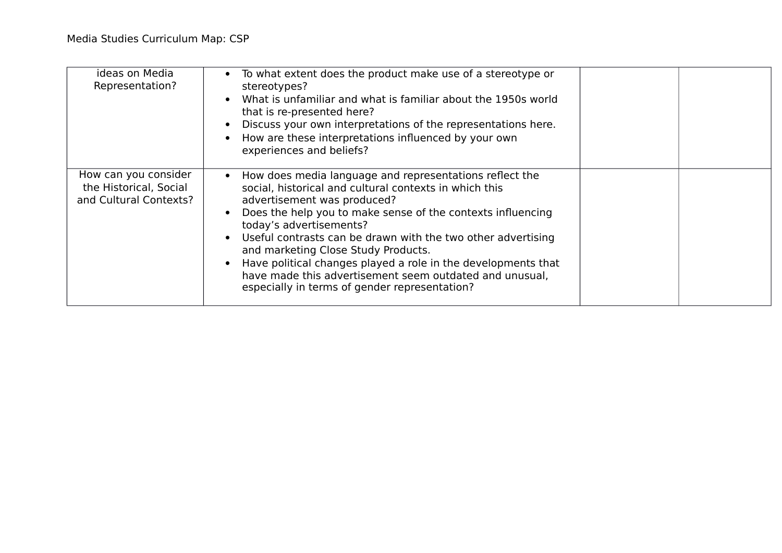| ideas on Media<br>Representation?                                        | To what extent does the product make use of a stereotype or<br>stereotypes?<br>What is unfamiliar and what is familiar about the 1950s world<br>that is re-presented here?<br>Discuss your own interpretations of the representations here.<br>How are these interpretations influenced by your own<br>experiences and beliefs?                                                                                                                                                                                                |  |
|--------------------------------------------------------------------------|--------------------------------------------------------------------------------------------------------------------------------------------------------------------------------------------------------------------------------------------------------------------------------------------------------------------------------------------------------------------------------------------------------------------------------------------------------------------------------------------------------------------------------|--|
| How can you consider<br>the Historical, Social<br>and Cultural Contexts? | How does media language and representations reflect the<br>social, historical and cultural contexts in which this<br>advertisement was produced?<br>Does the help you to make sense of the contexts influencing<br>today's advertisements?<br>Useful contrasts can be drawn with the two other advertising<br>and marketing Close Study Products.<br>Have political changes played a role in the developments that<br>have made this advertisement seem outdated and unusual,<br>especially in terms of gender representation? |  |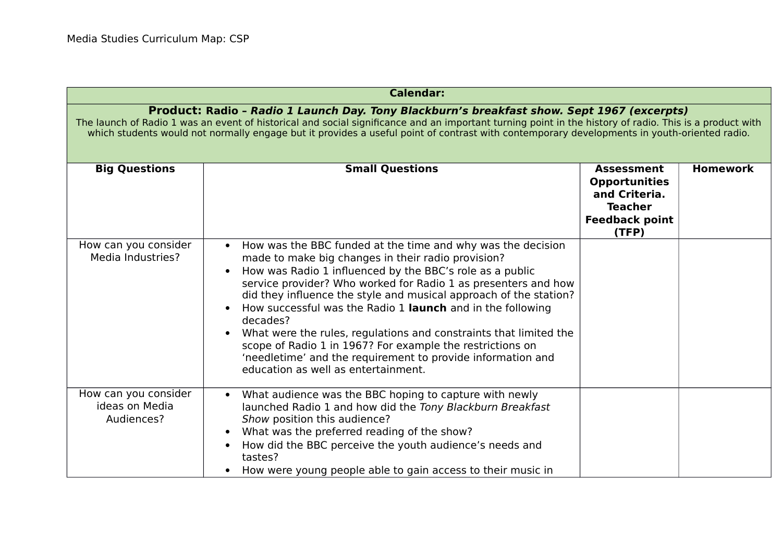# **Product: Radio – Radio 1 Launch Day. Tony Blackburn's breakfast show. Sept 1967 (excerpts)**

The launch of Radio 1 was an event of historical and social significance and an important turning point in the history of radio. This is a product with which students would not normally engage but it provides a useful point of contrast with contemporary developments in youth-oriented radio.

| <b>Big Questions</b>                                 | <b>Small Questions</b>                                                                                                                                                                                                                                                                                                                                                                                                                                                                                                                                                                                                                 | <b>Assessment</b><br><b>Opportunities</b><br>and Criteria.<br><b>Teacher</b><br><b>Feedback point</b><br>(TFP) | <b>Homework</b> |
|------------------------------------------------------|----------------------------------------------------------------------------------------------------------------------------------------------------------------------------------------------------------------------------------------------------------------------------------------------------------------------------------------------------------------------------------------------------------------------------------------------------------------------------------------------------------------------------------------------------------------------------------------------------------------------------------------|----------------------------------------------------------------------------------------------------------------|-----------------|
| How can you consider<br>Media Industries?            | How was the BBC funded at the time and why was the decision<br>made to make big changes in their radio provision?<br>How was Radio 1 influenced by the BBC's role as a public<br>service provider? Who worked for Radio 1 as presenters and how<br>did they influence the style and musical approach of the station?<br>How successful was the Radio 1 launch and in the following<br>decades?<br>What were the rules, regulations and constraints that limited the<br>scope of Radio 1 in 1967? For example the restrictions on<br>'needletime' and the requirement to provide information and<br>education as well as entertainment. |                                                                                                                |                 |
| How can you consider<br>ideas on Media<br>Audiences? | What audience was the BBC hoping to capture with newly<br>launched Radio 1 and how did the Tony Blackburn Breakfast<br>Show position this audience?<br>What was the preferred reading of the show?<br>How did the BBC perceive the youth audience's needs and<br>tastes?<br>How were young people able to gain access to their music in                                                                                                                                                                                                                                                                                                |                                                                                                                |                 |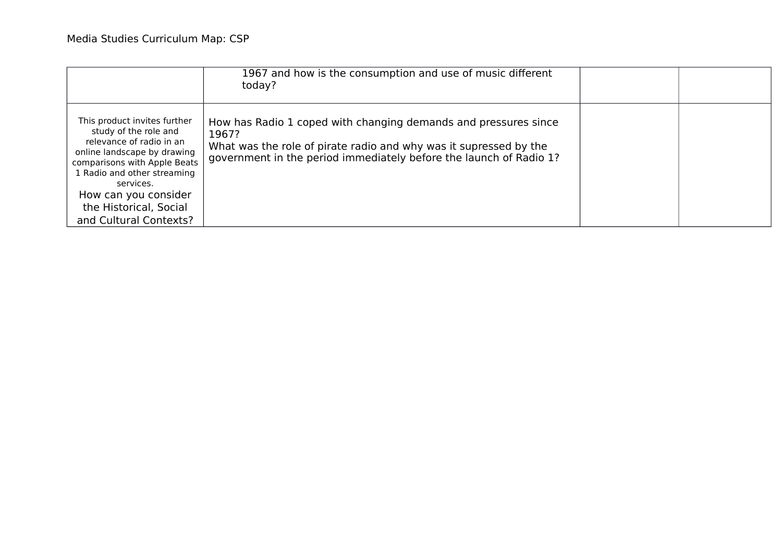|                                                                                                                                                                                                                                                                          | 1967 and how is the consumption and use of music different<br>today?                                                                                                                                                |  |
|--------------------------------------------------------------------------------------------------------------------------------------------------------------------------------------------------------------------------------------------------------------------------|---------------------------------------------------------------------------------------------------------------------------------------------------------------------------------------------------------------------|--|
| This product invites further<br>study of the role and<br>relevance of radio in an<br>online landscape by drawing<br>comparisons with Apple Beats<br>1 Radio and other streaming<br>services.<br>How can you consider<br>the Historical, Social<br>and Cultural Contexts? | How has Radio 1 coped with changing demands and pressures since<br>1967?<br>What was the role of pirate radio and why was it supressed by the<br>government in the period immediately before the launch of Radio 1? |  |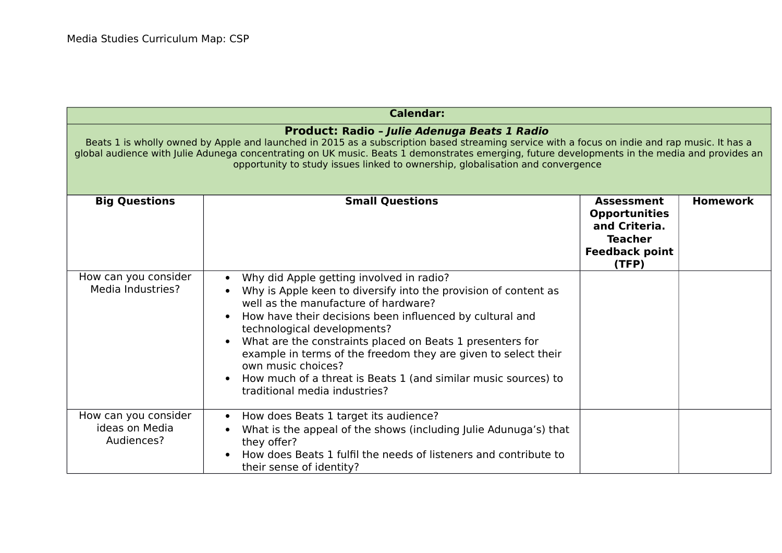| <b>Calendar:</b><br>Product: Radio - Julie Adenuga Beats 1 Radio<br>Beats 1 is wholly owned by Apple and launched in 2015 as a subscription based streaming service with a focus on indie and rap music. It has a<br>global audience with Julie Adunega concentrating on UK music. Beats 1 demonstrates emerging, future developments in the media and provides an<br>opportunity to study issues linked to ownership, globalisation and convergence |                                                                                                                                                                                                                                                                                                                                                                                                                                                                                                                     |  |  |
|------------------------------------------------------------------------------------------------------------------------------------------------------------------------------------------------------------------------------------------------------------------------------------------------------------------------------------------------------------------------------------------------------------------------------------------------------|---------------------------------------------------------------------------------------------------------------------------------------------------------------------------------------------------------------------------------------------------------------------------------------------------------------------------------------------------------------------------------------------------------------------------------------------------------------------------------------------------------------------|--|--|
|                                                                                                                                                                                                                                                                                                                                                                                                                                                      |                                                                                                                                                                                                                                                                                                                                                                                                                                                                                                                     |  |  |
| How can you consider<br>Media Industries?                                                                                                                                                                                                                                                                                                                                                                                                            | Why did Apple getting involved in radio?<br>$\bullet$<br>Why is Apple keen to diversify into the provision of content as<br>well as the manufacture of hardware?<br>How have their decisions been influenced by cultural and<br>technological developments?<br>What are the constraints placed on Beats 1 presenters for<br>example in terms of the freedom they are given to select their<br>own music choices?<br>How much of a threat is Beats 1 (and similar music sources) to<br>traditional media industries? |  |  |
| How can you consider<br>ideas on Media<br>Audiences?                                                                                                                                                                                                                                                                                                                                                                                                 | How does Beats 1 target its audience?<br>What is the appeal of the shows (including Julie Adunuga's) that<br>they offer?<br>How does Beats 1 fulfil the needs of listeners and contribute to<br>their sense of identity?                                                                                                                                                                                                                                                                                            |  |  |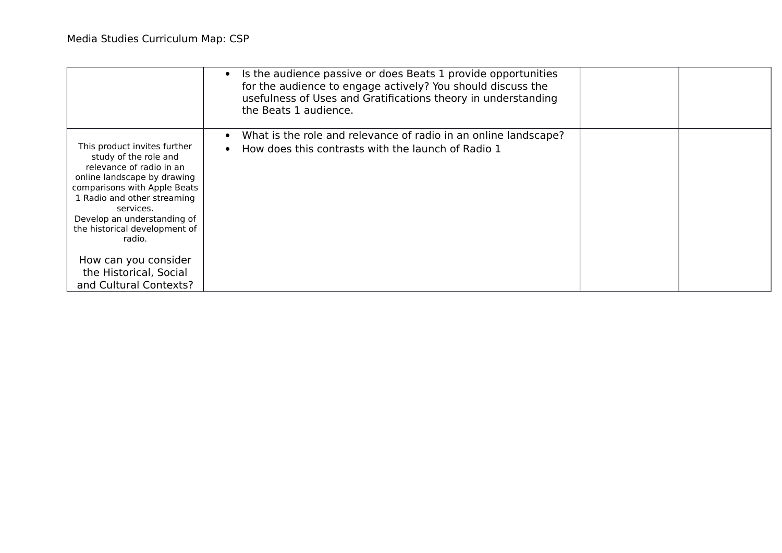|                                                                                                                                                                                                                                                                        | Is the audience passive or does Beats 1 provide opportunities<br>for the audience to engage actively? You should discuss the<br>usefulness of Uses and Gratifications theory in understanding<br>the Beats 1 audience. |  |
|------------------------------------------------------------------------------------------------------------------------------------------------------------------------------------------------------------------------------------------------------------------------|------------------------------------------------------------------------------------------------------------------------------------------------------------------------------------------------------------------------|--|
| This product invites further<br>study of the role and<br>relevance of radio in an<br>online landscape by drawing<br>comparisons with Apple Beats<br>1 Radio and other streaming<br>services.<br>Develop an understanding of<br>the historical development of<br>radio. | What is the role and relevance of radio in an online landscape?<br>How does this contrasts with the launch of Radio 1                                                                                                  |  |
| How can you consider<br>the Historical, Social<br>and Cultural Contexts?                                                                                                                                                                                               |                                                                                                                                                                                                                        |  |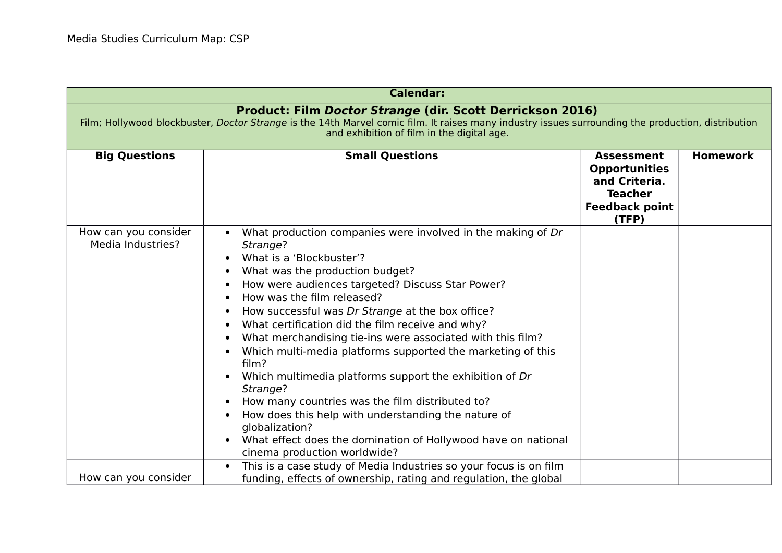| <b>Calendar:</b>                                                                                                                                                                                                                                              |                                                                                                                                                                                                                                                                                                                                                                                                                                                                                                                                                                                                                                                                                                                                                                                                                                                          |                                                                                                                |                 |
|---------------------------------------------------------------------------------------------------------------------------------------------------------------------------------------------------------------------------------------------------------------|----------------------------------------------------------------------------------------------------------------------------------------------------------------------------------------------------------------------------------------------------------------------------------------------------------------------------------------------------------------------------------------------------------------------------------------------------------------------------------------------------------------------------------------------------------------------------------------------------------------------------------------------------------------------------------------------------------------------------------------------------------------------------------------------------------------------------------------------------------|----------------------------------------------------------------------------------------------------------------|-----------------|
| Product: Film Doctor Strange (dir. Scott Derrickson 2016)<br>Film; Hollywood blockbuster, Doctor Strange is the 14th Marvel comic film. It raises many industry issues surrounding the production, distribution<br>and exhibition of film in the digital age. |                                                                                                                                                                                                                                                                                                                                                                                                                                                                                                                                                                                                                                                                                                                                                                                                                                                          |                                                                                                                |                 |
| <b>Big Questions</b>                                                                                                                                                                                                                                          | <b>Small Questions</b>                                                                                                                                                                                                                                                                                                                                                                                                                                                                                                                                                                                                                                                                                                                                                                                                                                   | <b>Assessment</b><br><b>Opportunities</b><br>and Criteria.<br><b>Teacher</b><br><b>Feedback point</b><br>(TFP) | <b>Homework</b> |
| How can you consider<br>Media Industries?                                                                                                                                                                                                                     | What production companies were involved in the making of Dr<br>$\bullet$<br>Strange?<br>What is a 'Blockbuster'?<br>$\bullet$<br>What was the production budget?<br>$\bullet$<br>How were audiences targeted? Discuss Star Power?<br>How was the film released?<br>$\bullet$<br>How successful was Dr Strange at the box office?<br>What certification did the film receive and why?<br>$\bullet$<br>What merchandising tie-ins were associated with this film?<br>Which multi-media platforms supported the marketing of this<br>$\bullet$<br>film?<br>Which multimedia platforms support the exhibition of Dr<br>Strange?<br>How many countries was the film distributed to?<br>How does this help with understanding the nature of<br>globalization?<br>What effect does the domination of Hollywood have on national<br>cinema production worldwide? |                                                                                                                |                 |
| How can you consider                                                                                                                                                                                                                                          | This is a case study of Media Industries so your focus is on film<br>$\bullet$<br>funding, effects of ownership, rating and regulation, the global                                                                                                                                                                                                                                                                                                                                                                                                                                                                                                                                                                                                                                                                                                       |                                                                                                                |                 |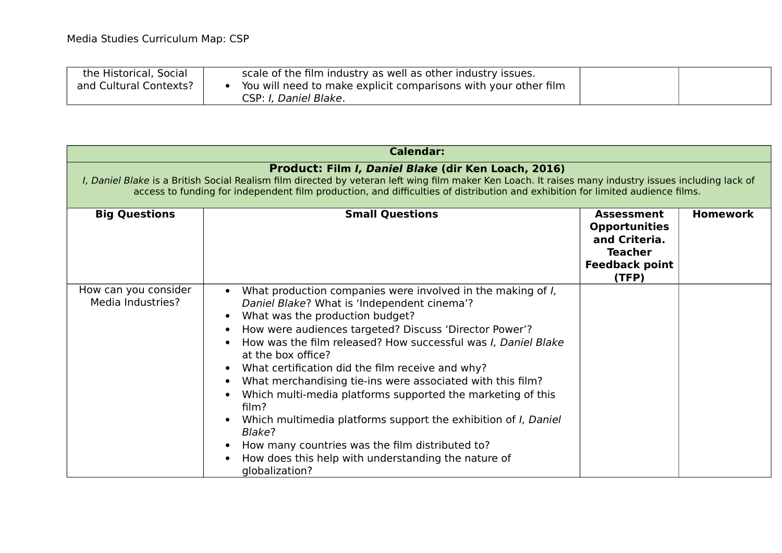| the Historical, Social | scale of the film industry as well as other industry issues.    |  |
|------------------------|-----------------------------------------------------------------|--|
| and Cultural Contexts? | You will need to make explicit comparisons with your other film |  |
|                        | CSP: I, Daniel Blake.                                           |  |

| <b>Calendar:</b>                                                                                                                                                                                                                                                                                                                               |                                                                                                                                                                                                                                                                                                                                                                                                                                                                                                                                                                                                                                                                                                                      |                                                                                                                |                 |
|------------------------------------------------------------------------------------------------------------------------------------------------------------------------------------------------------------------------------------------------------------------------------------------------------------------------------------------------|----------------------------------------------------------------------------------------------------------------------------------------------------------------------------------------------------------------------------------------------------------------------------------------------------------------------------------------------------------------------------------------------------------------------------------------------------------------------------------------------------------------------------------------------------------------------------------------------------------------------------------------------------------------------------------------------------------------------|----------------------------------------------------------------------------------------------------------------|-----------------|
| Product: Film I, Daniel Blake (dir Ken Loach, 2016)<br>I, Daniel Blake is a British Social Realism film directed by veteran left wing film maker Ken Loach. It raises many industry issues including lack of<br>access to funding for independent film production, and difficulties of distribution and exhibition for limited audience films. |                                                                                                                                                                                                                                                                                                                                                                                                                                                                                                                                                                                                                                                                                                                      |                                                                                                                |                 |
| <b>Big Questions</b>                                                                                                                                                                                                                                                                                                                           | <b>Small Questions</b>                                                                                                                                                                                                                                                                                                                                                                                                                                                                                                                                                                                                                                                                                               | <b>Assessment</b><br><b>Opportunities</b><br>and Criteria.<br><b>Teacher</b><br><b>Feedback point</b><br>(TFP) | <b>Homework</b> |
| How can you consider<br>Media Industries?                                                                                                                                                                                                                                                                                                      | What production companies were involved in the making of I,<br>Daniel Blake? What is 'Independent cinema'?<br>What was the production budget?<br>$\bullet$<br>How were audiences targeted? Discuss 'Director Power'?<br>How was the film released? How successful was I, Daniel Blake<br>at the box office?<br>What certification did the film receive and why?<br>What merchandising tie-ins were associated with this film?<br>Which multi-media platforms supported the marketing of this<br>film?<br>Which multimedia platforms support the exhibition of <i>I, Daniel</i><br>Blake?<br>How many countries was the film distributed to?<br>How does this help with understanding the nature of<br>globalization? |                                                                                                                |                 |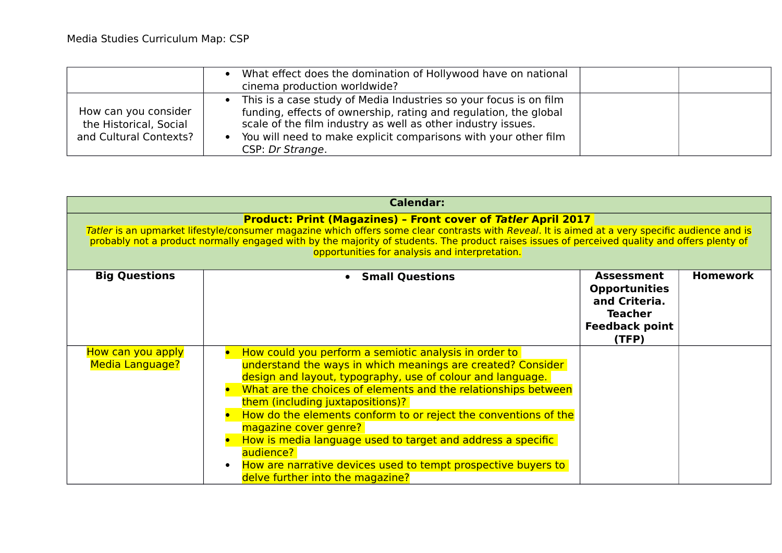|                                                                          | What effect does the domination of Hollywood have on national<br>cinema production worldwide?                                                                                                                                                                                                |  |
|--------------------------------------------------------------------------|----------------------------------------------------------------------------------------------------------------------------------------------------------------------------------------------------------------------------------------------------------------------------------------------|--|
| How can you consider<br>the Historical, Social<br>and Cultural Contexts? | This is a case study of Media Industries so your focus is on film<br>funding, effects of ownership, rating and regulation, the global<br>scale of the film industry as well as other industry issues.<br>You will need to make explicit comparisons with your other film<br>CSP: Dr Strange. |  |

| <b>Calendar:</b>                                                                                                                                                                                                                                                                                                                                                                                                           |                                                                                                                                                                                                                                                                                                                                                                                                                                                                                                                                                                       |                                                                                                                |                 |
|----------------------------------------------------------------------------------------------------------------------------------------------------------------------------------------------------------------------------------------------------------------------------------------------------------------------------------------------------------------------------------------------------------------------------|-----------------------------------------------------------------------------------------------------------------------------------------------------------------------------------------------------------------------------------------------------------------------------------------------------------------------------------------------------------------------------------------------------------------------------------------------------------------------------------------------------------------------------------------------------------------------|----------------------------------------------------------------------------------------------------------------|-----------------|
| <b>Product: Print (Magazines) - Front cover of Tatler April 2017</b><br>Tatler is an upmarket lifestyle/consumer magazine which offers some clear contrasts with Reveal. It is aimed at a very specific audience and is<br>probably not a product normally engaged with by the majority of students. The product raises issues of perceived quality and offers plenty of<br>opportunities for analysis and interpretation. |                                                                                                                                                                                                                                                                                                                                                                                                                                                                                                                                                                       |                                                                                                                |                 |
| <b>Big Questions</b>                                                                                                                                                                                                                                                                                                                                                                                                       | <b>Small Questions</b>                                                                                                                                                                                                                                                                                                                                                                                                                                                                                                                                                | <b>Assessment</b><br><b>Opportunities</b><br>and Criteria.<br><b>Teacher</b><br><b>Feedback point</b><br>(TFP) | <b>Homework</b> |
| How can you apply<br><b>Media Language?</b>                                                                                                                                                                                                                                                                                                                                                                                | How could you perform a semiotic analysis in order to<br>understand the ways in which meanings are created? Consider<br>design and layout, typography, use of colour and language.<br>What are the choices of elements and the relationships between<br>them (including juxtapositions)?<br>How do the elements conform to or reject the conventions of the<br>magazine cover genre?<br>How is media language used to target and address a specific<br>audience?<br>How are narrative devices used to tempt prospective buyers to<br>delve further into the magazine? |                                                                                                                |                 |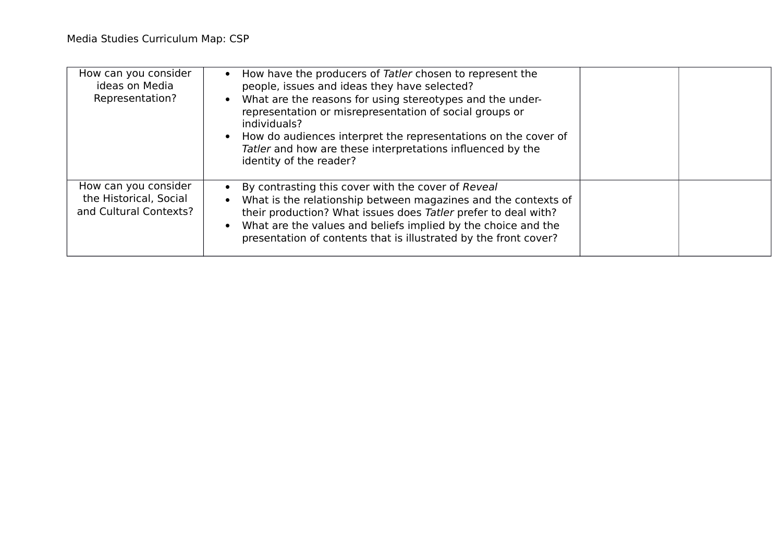| How can you consider<br>ideas on Media<br>Representation?                | How have the producers of Tatler chosen to represent the<br>people, issues and ideas they have selected?<br>What are the reasons for using stereotypes and the under-<br>representation or misrepresentation of social groups or<br>individuals?<br>How do audiences interpret the representations on the cover of<br>Tatler and how are these interpretations influenced by the<br>identity of the reader? |  |
|--------------------------------------------------------------------------|-------------------------------------------------------------------------------------------------------------------------------------------------------------------------------------------------------------------------------------------------------------------------------------------------------------------------------------------------------------------------------------------------------------|--|
| How can you consider<br>the Historical, Social<br>and Cultural Contexts? | By contrasting this cover with the cover of Reveal<br>What is the relationship between magazines and the contexts of<br>their production? What issues does Tatler prefer to deal with?<br>What are the values and beliefs implied by the choice and the<br>presentation of contents that is illustrated by the front cover?                                                                                 |  |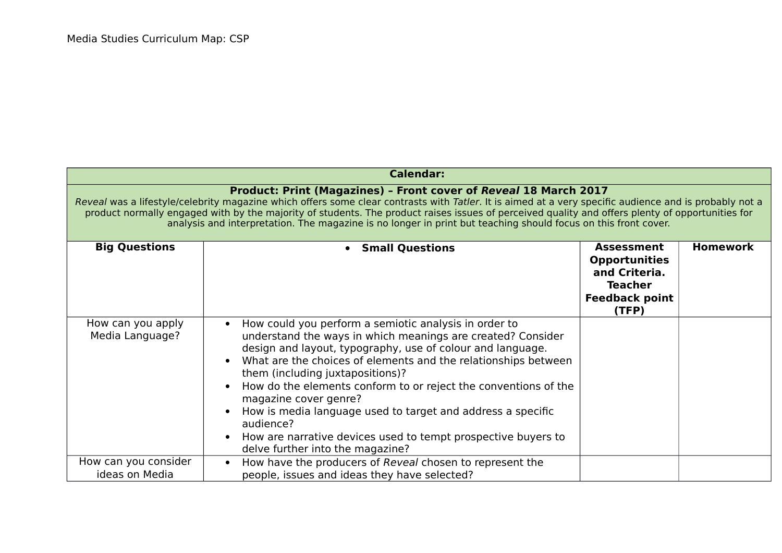| <b>Calendar:</b> |  |
|------------------|--|
|                  |  |

#### **Product: Print (Magazines) – Front cover of Reveal 18 March 2017**

Reveal was a lifestyle/celebrity magazine which offers some clear contrasts with Tatler. It is aimed at a very specific audience and is probably not a product normally engaged with by the majority of students. The product raises issues of perceived quality and offers plenty of opportunities for analysis and interpretation. The magazine is no longer in print but teaching should focus on this front cover.

| <b>Big Questions</b>                   | • Small Questions                                                                                                                                                                                                                                                                                                                                                                                                                                                                                                                                                     | <b>Assessment</b><br><b>Opportunities</b><br>and Criteria.<br><b>Teacher</b><br><b>Feedback point</b><br>(TFP) | <b>Homework</b> |
|----------------------------------------|-----------------------------------------------------------------------------------------------------------------------------------------------------------------------------------------------------------------------------------------------------------------------------------------------------------------------------------------------------------------------------------------------------------------------------------------------------------------------------------------------------------------------------------------------------------------------|----------------------------------------------------------------------------------------------------------------|-----------------|
| How can you apply<br>Media Language?   | How could you perform a semiotic analysis in order to<br>understand the ways in which meanings are created? Consider<br>design and layout, typography, use of colour and language.<br>What are the choices of elements and the relationships between<br>them (including juxtapositions)?<br>How do the elements conform to or reject the conventions of the<br>magazine cover genre?<br>How is media language used to target and address a specific<br>audience?<br>How are narrative devices used to tempt prospective buyers to<br>delve further into the magazine? |                                                                                                                |                 |
| How can you consider<br>ideas on Media | How have the producers of Reveal chosen to represent the<br>people, issues and ideas they have selected?                                                                                                                                                                                                                                                                                                                                                                                                                                                              |                                                                                                                |                 |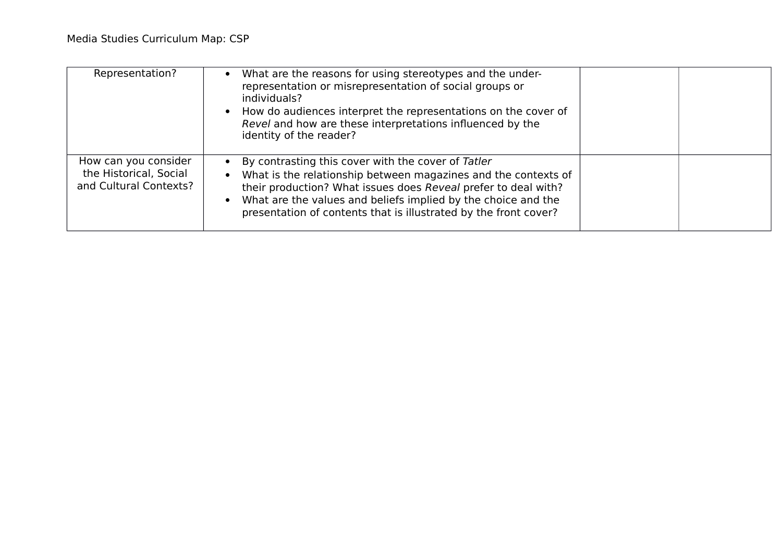| Representation?                                                          | What are the reasons for using stereotypes and the under-<br>representation or misrepresentation of social groups or<br>individuals?<br>How do audiences interpret the representations on the cover of<br>Revel and how are these interpretations influenced by the<br>identity of the reader?                              |  |
|--------------------------------------------------------------------------|-----------------------------------------------------------------------------------------------------------------------------------------------------------------------------------------------------------------------------------------------------------------------------------------------------------------------------|--|
| How can you consider<br>the Historical, Social<br>and Cultural Contexts? | By contrasting this cover with the cover of Tatler<br>What is the relationship between magazines and the contexts of<br>their production? What issues does Reveal prefer to deal with?<br>What are the values and beliefs implied by the choice and the<br>presentation of contents that is illustrated by the front cover? |  |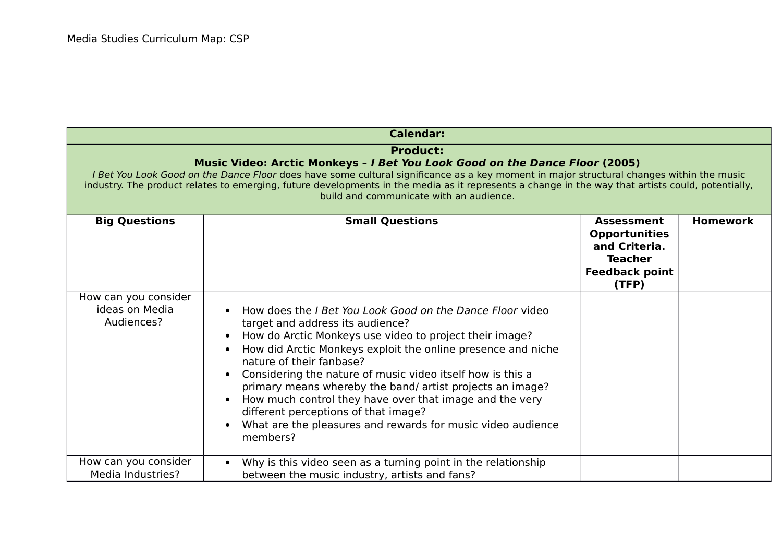| <b>Calendar:</b><br><b>Product:</b><br>Music Video: Arctic Monkeys - I Bet You Look Good on the Dance Floor (2005)<br>I Bet You Look Good on the Dance Floor does have some cultural significance as a key moment in major structural changes within the music<br>industry. The product relates to emerging, future developments in the media as it represents a change in the way that artists could, potentially,<br>build and communicate with an audience. |                                                                                                                                                                                                                                                                                                                                                                                                                                                                                                                                                                                   |  |  |
|----------------------------------------------------------------------------------------------------------------------------------------------------------------------------------------------------------------------------------------------------------------------------------------------------------------------------------------------------------------------------------------------------------------------------------------------------------------|-----------------------------------------------------------------------------------------------------------------------------------------------------------------------------------------------------------------------------------------------------------------------------------------------------------------------------------------------------------------------------------------------------------------------------------------------------------------------------------------------------------------------------------------------------------------------------------|--|--|
|                                                                                                                                                                                                                                                                                                                                                                                                                                                                |                                                                                                                                                                                                                                                                                                                                                                                                                                                                                                                                                                                   |  |  |
| How can you consider<br>ideas on Media<br>Audiences?                                                                                                                                                                                                                                                                                                                                                                                                           | How does the <i>I Bet You Look Good on the Dance Floor video</i><br>target and address its audience?<br>How do Arctic Monkeys use video to project their image?<br>How did Arctic Monkeys exploit the online presence and niche<br>$\bullet$<br>nature of their fanbase?<br>Considering the nature of music video itself how is this a<br>primary means whereby the band/ artist projects an image?<br>How much control they have over that image and the very<br>different perceptions of that image?<br>What are the pleasures and rewards for music video audience<br>members? |  |  |
| How can you consider<br>Media Industries?                                                                                                                                                                                                                                                                                                                                                                                                                      | Why is this video seen as a turning point in the relationship<br>$\bullet$<br>between the music industry, artists and fans?                                                                                                                                                                                                                                                                                                                                                                                                                                                       |  |  |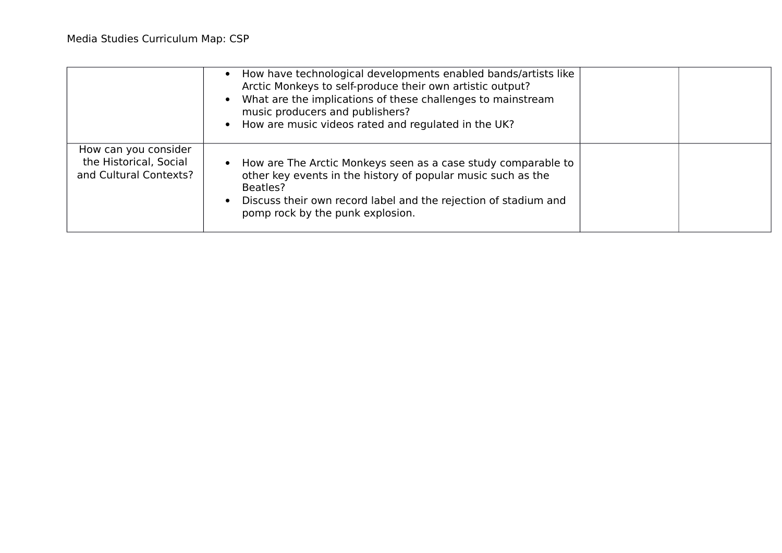|                                                                          | How have technological developments enabled bands/artists like<br>Arctic Monkeys to self-produce their own artistic output?<br>What are the implications of these challenges to mainstream<br>music producers and publishers?<br>• How are music videos rated and regulated in the UK? |  |
|--------------------------------------------------------------------------|----------------------------------------------------------------------------------------------------------------------------------------------------------------------------------------------------------------------------------------------------------------------------------------|--|
| How can you consider<br>the Historical, Social<br>and Cultural Contexts? | How are The Arctic Monkeys seen as a case study comparable to<br>other key events in the history of popular music such as the<br>Beatles?<br>Discuss their own record label and the rejection of stadium and<br>pomp rock by the punk explosion.                                       |  |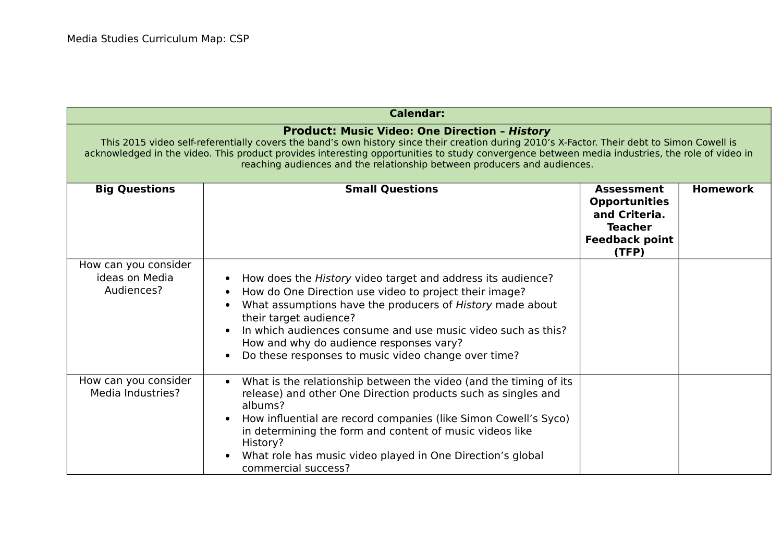| <b>Calendar:</b>                                                                                                                                                                                                                                                                                                                                                                                                                  |                                                                                                                                                                                                                                                                                                                                                                                            |                                                                                                                |                 |
|-----------------------------------------------------------------------------------------------------------------------------------------------------------------------------------------------------------------------------------------------------------------------------------------------------------------------------------------------------------------------------------------------------------------------------------|--------------------------------------------------------------------------------------------------------------------------------------------------------------------------------------------------------------------------------------------------------------------------------------------------------------------------------------------------------------------------------------------|----------------------------------------------------------------------------------------------------------------|-----------------|
| <b>Product: Music Video: One Direction - History</b><br>This 2015 video self-referentially covers the band's own history since their creation during 2010's X-Factor. Their debt to Simon Cowell is<br>acknowledged in the video. This product provides interesting opportunities to study convergence between media industries, the role of video in<br>reaching audiences and the relationship between producers and audiences. |                                                                                                                                                                                                                                                                                                                                                                                            |                                                                                                                |                 |
| <b>Big Questions</b>                                                                                                                                                                                                                                                                                                                                                                                                              | <b>Small Questions</b>                                                                                                                                                                                                                                                                                                                                                                     | <b>Assessment</b><br><b>Opportunities</b><br>and Criteria.<br><b>Teacher</b><br><b>Feedback point</b><br>(TFP) | <b>Homework</b> |
| How can you consider<br>ideas on Media<br>Audiences?                                                                                                                                                                                                                                                                                                                                                                              | How does the History video target and address its audience?<br>How do One Direction use video to project their image?<br>What assumptions have the producers of History made about<br>their target audience?<br>In which audiences consume and use music video such as this?<br>How and why do audience responses vary?<br>Do these responses to music video change over time?             |                                                                                                                |                 |
| How can you consider<br>Media Industries?                                                                                                                                                                                                                                                                                                                                                                                         | What is the relationship between the video (and the timing of its<br>$\bullet$<br>release) and other One Direction products such as singles and<br>albums?<br>How influential are record companies (like Simon Cowell's Syco)<br>in determining the form and content of music videos like<br>History?<br>What role has music video played in One Direction's global<br>commercial success? |                                                                                                                |                 |